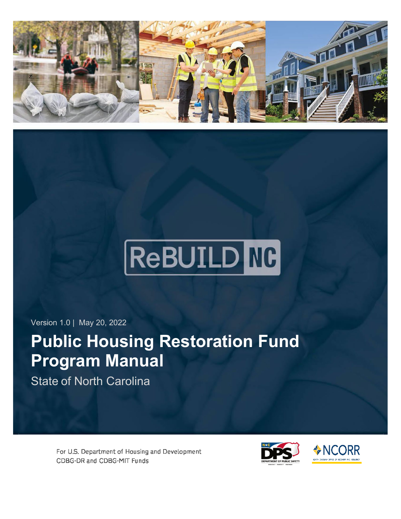

# ReBUILD NG

Version 1.0 | May 20, 2022

## **Public Housing Restoration Fund Program Manual**

State of North Carolina

For U.S. Department of Housing and Development **CDBG-DR and CDBG-MIT Funds** 

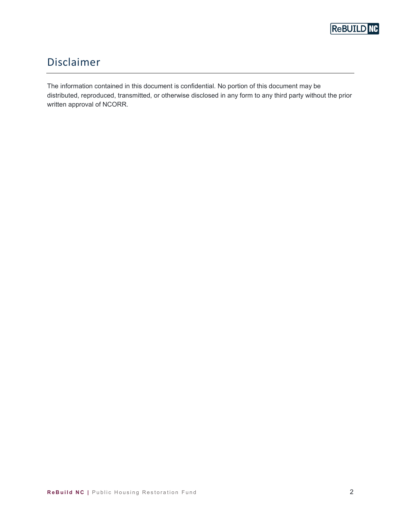

## <span id="page-1-0"></span>Disclaimer

The information contained in this document is confidential. No portion of this document may be distributed, reproduced, transmitted, or otherwise disclosed in any form to any third party without the prior written approval of NCORR.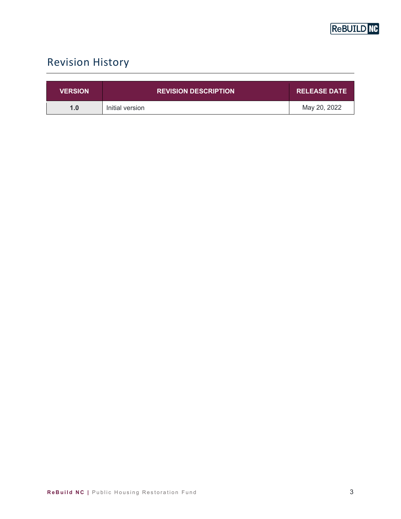

## <span id="page-2-0"></span>Revision History

| <b>VERSION</b> | <b>REVISION DESCRIPTION</b> | <b>RELEASE DATE</b> |
|----------------|-----------------------------|---------------------|
| 1.0            | Initial version             | May 20, 2022        |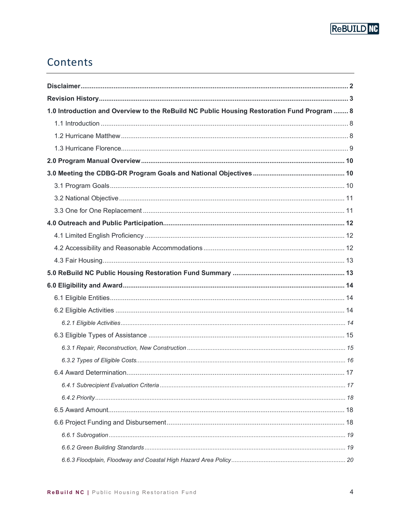

## Contents

| 1.0 Introduction and Overview to the ReBuild NC Public Housing Restoration Fund Program  8 |    |
|--------------------------------------------------------------------------------------------|----|
|                                                                                            |    |
|                                                                                            |    |
|                                                                                            |    |
|                                                                                            |    |
|                                                                                            |    |
|                                                                                            |    |
|                                                                                            |    |
|                                                                                            |    |
|                                                                                            |    |
|                                                                                            |    |
|                                                                                            |    |
|                                                                                            |    |
|                                                                                            |    |
|                                                                                            |    |
|                                                                                            |    |
|                                                                                            |    |
|                                                                                            |    |
|                                                                                            |    |
|                                                                                            |    |
|                                                                                            |    |
| 6.4 Award Determination.                                                                   | 17 |
|                                                                                            |    |
|                                                                                            |    |
|                                                                                            |    |
|                                                                                            |    |
|                                                                                            |    |
|                                                                                            |    |
|                                                                                            |    |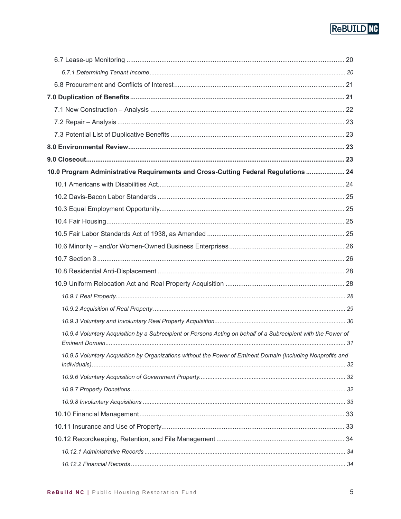## **ReBUILD NG**

| 10.0 Program Administrative Requirements and Cross-Cutting Federal Regulations  24                             |  |
|----------------------------------------------------------------------------------------------------------------|--|
|                                                                                                                |  |
|                                                                                                                |  |
|                                                                                                                |  |
|                                                                                                                |  |
|                                                                                                                |  |
|                                                                                                                |  |
|                                                                                                                |  |
|                                                                                                                |  |
|                                                                                                                |  |
|                                                                                                                |  |
|                                                                                                                |  |
|                                                                                                                |  |
| 10.9.4 Voluntary Acquisition by a Subrecipient or Persons Acting on behalf of a Subrecipient with the Power of |  |
| 10.9.5 Voluntary Acquisition by Organizations without the Power of Eminent Domain (Including Nonprofits and    |  |
|                                                                                                                |  |
|                                                                                                                |  |
|                                                                                                                |  |
|                                                                                                                |  |
|                                                                                                                |  |
|                                                                                                                |  |
|                                                                                                                |  |
|                                                                                                                |  |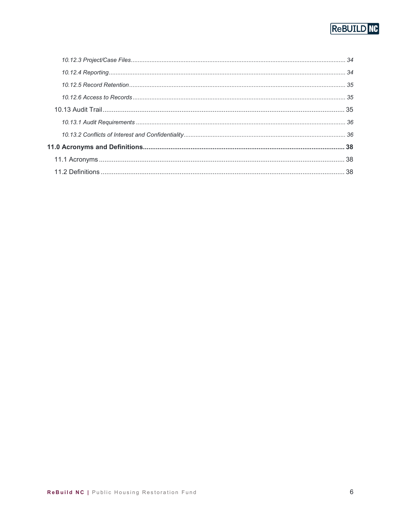## **ReBUILD NG**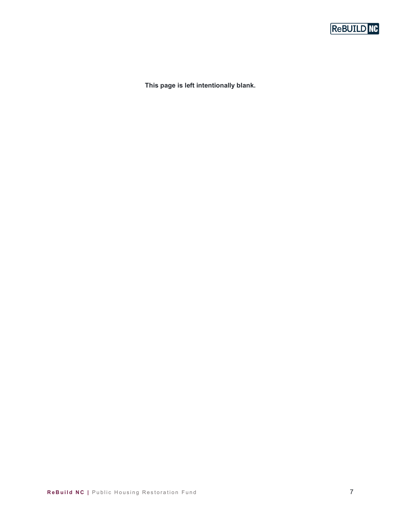

**This page is left intentionally blank.**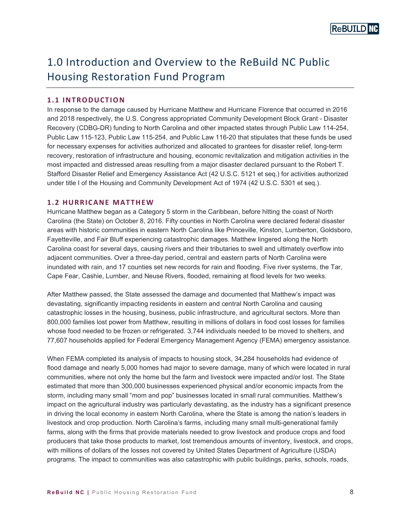## <span id="page-7-0"></span>1.0 Introduction and Overview to the ReBuild NC Public Housing Restoration Fund Program

#### <span id="page-7-1"></span>**1.1 INTRODUCTION**

In response to the damage caused by Hurricane Matthew and Hurricane Florence that occurred in 2016 and 2018 respectively, the U.S. Congress appropriated Community Development Block Grant - Disaster Recovery (CDBG-DR) funding to North Carolina and other impacted states through Public Law 114-254, Public Law 115-123, Public Law 115-254, and Public Law 116-20 that stipulates that these funds be used for necessary expenses for activities authorized and allocated to grantees for disaster relief, long-term recovery, restoration of infrastructure and housing, economic revitalization and mitigation activities in the most impacted and distressed areas resulting from a major disaster declared pursuant to the Robert T. Stafford Disaster Relief and Emergency Assistance Act (42 U.S.C. 5121 et seq.) for activities authorized under title I of the Housing and Community Development Act of 1974 (42 U.S.C. 5301 et seq.).

#### <span id="page-7-2"></span>**1.2 HURRICANE MATTHEW**

Hurricane Matthew began as a Category 5 storm in the Caribbean, before hitting the coast of North Carolina (the State) on October 8, 2016. Fifty counties in North Carolina were declared federal disaster areas with historic communities in eastern North Carolina like Princeville, Kinston, Lumberton, Goldsboro, Fayetteville, and Fair Bluff experiencing catastrophic damages. Matthew lingered along the North Carolina coast for several days, causing rivers and their tributaries to swell and ultimately overflow into adjacent communities. Over a three-day period, central and eastern parts of North Carolina were inundated with rain, and 17 counties set new records for rain and flooding. Five river systems, the Tar, Cape Fear, Cashie, Lumber, and Neuse Rivers, flooded, remaining at flood levels for two weeks.

After Matthew passed, the State assessed the damage and documented that Matthew's impact was devastating, significantly impacting residents in eastern and central North Carolina and causing catastrophic losses in the housing, business, public infrastructure, and agricultural sectors. More than 800,000 families lost power from Matthew, resulting in millions of dollars in food cost losses for families whose food needed to be frozen or refrigerated. 3,744 individuals needed to be moved to shelters, and 77,607 households applied for Federal Emergency Management Agency (FEMA) emergency assistance.

When FEMA completed its analysis of impacts to housing stock, 34,284 households had evidence of flood damage and nearly 5,000 homes had major to severe damage, many of which were located in rural communities, where not only the home but the farm and livestock were impacted and/or lost. The State estimated that more than 300,000 businesses experienced physical and/or economic impacts from the storm, including many small "mom and pop" businesses located in small rural communities. Matthew's impact on the agricultural industry was particularly devastating, as the industry has a significant presence in driving the local economy in eastern North Carolina, where the State is among the nation's leaders in livestock and crop production. North Carolina's farms, including many small multi-generational family farms, along with the firms that provide materials needed to grow livestock and produce crops and food producers that take those products to market, lost tremendous amounts of inventory, livestock, and crops, with millions of dollars of the losses not covered by United States Department of Agriculture (USDA) programs. The impact to communities was also catastrophic with public buildings, parks, schools, roads,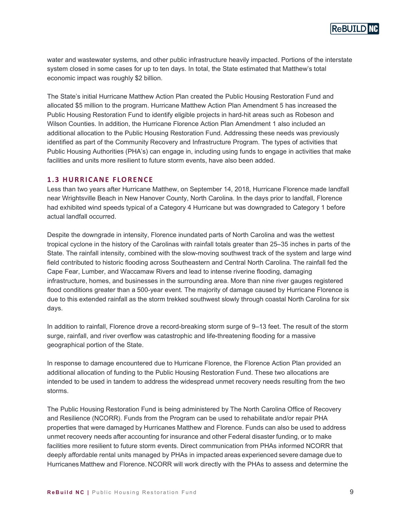

water and wastewater systems, and other public infrastructure heavily impacted. Portions of the interstate system closed in some cases for up to ten days. In total, the State estimated that Matthew's total economic impact was roughly \$2 billion.

The State's initial Hurricane Matthew Action Plan created the Public Housing Restoration Fund and allocated \$5 million to the program. Hurricane Matthew Action Plan Amendment 5 has increased the Public Housing Restoration Fund to identify eligible projects in hard-hit areas such as Robeson and Wilson Counties. In addition, the Hurricane Florence Action Plan Amendment 1 also included an additional allocation to the Public Housing Restoration Fund. Addressing these needs was previously identified as part of the Community Recovery and Infrastructure Program. The types of activities that Public Housing Authorities (PHA's) can engage in, including using funds to engage in activities that make facilities and units more resilient to future storm events, have also been added.

#### <span id="page-8-0"></span>**1.3 HURRICANE FLORENCE**

Less than two years after Hurricane Matthew, on September 14, 2018, Hurricane Florence made landfall near Wrightsville Beach in New Hanover County, North Carolina. In the days prior to landfall, Florence had exhibited wind speeds typical of a Category 4 Hurricane but was downgraded to Category 1 before actual landfall occurred.

Despite the downgrade in intensity, Florence inundated parts of North Carolina and was the wettest tropical cyclone in the history of the Carolinas with rainfall totals greater than 25–35 inches in parts of the State. The rainfall intensity, combined with the slow-moving southwest track of the system and large wind field contributed to historic flooding across Southeastern and Central North Carolina. The rainfall fed the Cape Fear, Lumber, and Waccamaw Rivers and lead to intense riverine flooding, damaging infrastructure, homes, and businesses in the surrounding area. More than nine river gauges registered flood conditions greater than a 500-year event. The majority of damage caused by Hurricane Florence is due to this extended rainfall as the storm trekked southwest slowly through coastal North Carolina for six days.

In addition to rainfall, Florence drove a record-breaking storm surge of 9–13 feet. The result of the storm surge, rainfall, and river overflow was catastrophic and life-threatening flooding for a massive geographical portion of the State.

In response to damage encountered due to Hurricane Florence, the Florence Action Plan provided an additional allocation of funding to the Public Housing Restoration Fund. These two allocations are intended to be used in tandem to address the widespread unmet recovery needs resulting from the two storms.

The Public Housing Restoration Fund is being administered by The North Carolina Office of Recovery and Resilience (NCORR). Funds from the Program can be used to rehabilitate and/or repair PHA properties that were damaged by Hurricanes Matthew and Florence. Funds can also be used to address unmet recovery needs after accounting for insurance and other Federal disaster funding, or to make facilities more resilient to future storm events. Direct communication from PHAs informed NCORR that deeply affordable rental units managed by PHAs in impacted areas experienced severe damage due to Hurricanes Matthew and Florence. NCORR will work directly with the PHAs to assess and determine the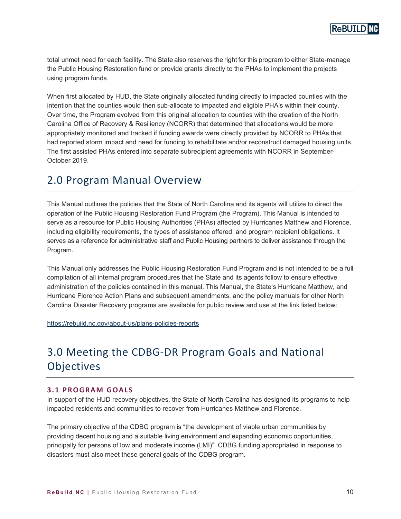

total unmet need for each facility. The State also reserves the right for this program to either State-manage the Public Housing Restoration fund or provide grants directly to the PHAs to implement the projects using program funds.

When first allocated by HUD, the State originally allocated funding directly to impacted counties with the intention that the counties would then sub-allocate to impacted and eligible PHA's within their county. Over time, the Program evolved from this original allocation to counties with the creation of the North Carolina Office of Recovery & Resiliency (NCORR) that determined that allocations would be more appropriately monitored and tracked if funding awards were directly provided by NCORR to PHAs that had reported storm impact and need for funding to rehabilitate and/or reconstruct damaged housing units. The first assisted PHAs entered into separate subrecipient agreements with NCORR in September-October 2019.

## <span id="page-9-0"></span>2.0 Program Manual Overview

This Manual outlines the policies that the State of North Carolina and its agents will utilize to direct the operation of the Public Housing Restoration Fund Program (the Program). This Manual is intended to serve as a resource for Public Housing Authorities (PHAs) affected by Hurricanes Matthew and Florence, including eligibility requirements, the types of assistance offered, and program recipient obligations. It serves as a reference for administrative staff and Public Housing partners to deliver assistance through the Program.

This Manual only addresses the Public Housing Restoration Fund Program and is not intended to be a full compilation of all internal program procedures that the State and its agents follow to ensure effective administration of the policies contained in this manual. This Manual, the State's Hurricane Matthew, and Hurricane Florence Action Plans and subsequent amendments, and the policy manuals for other North Carolina Disaster Recovery programs are available for public review and use at the link listed below:

<https://rebuild.nc.gov/about-us/plans-policies-reports>

## <span id="page-9-1"></span>3.0 Meeting the CDBG-DR Program Goals and National **Objectives**

#### <span id="page-9-2"></span>**3.1 PROGRAM GOALS**

In support of the HUD recovery objectives, the State of North Carolina has designed its programs to help impacted residents and communities to recover from Hurricanes Matthew and Florence.

The primary objective of the CDBG program is "the development of viable urban communities by providing decent housing and a suitable living environment and expanding economic opportunities, principally for persons of low and moderate income (LMI)". CDBG funding appropriated in response to disasters must also meet these general goals of the CDBG program.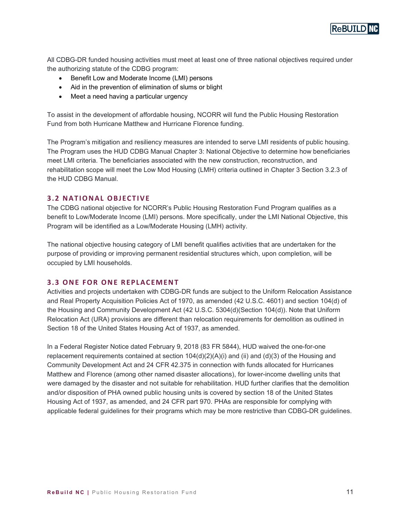**ReBUILD NG** 

All CDBG-DR funded housing activities must meet at least one of three national objectives required under the authorizing statute of the CDBG program:

- Benefit Low and Moderate Income (LMI) persons
- Aid in the prevention of elimination of slums or blight
- Meet a need having a particular urgency

To assist in the development of affordable housing, NCORR will fund the Public Housing Restoration Fund from both Hurricane Matthew and Hurricane Florence funding.

The Program's mitigation and resiliency measures are intended to serve LMI residents of public housing. The Program uses the HUD CDBG Manual Chapter 3: National Objective to determine how beneficiaries meet LMI criteria. The beneficiaries associated with the new construction, reconstruction, and rehabilitation scope will meet the Low Mod Housing (LMH) criteria outlined in Chapter 3 Section 3.2.3 of the HUD CDBG Manual.

#### <span id="page-10-0"></span>**3.2 NATIONAL OBJECTIVE**

The CDBG national objective for NCORR's Public Housing Restoration Fund Program qualifies as a benefit to Low/Moderate Income (LMI) persons. More specifically, under the LMI National Objective, this Program will be identified as a Low/Moderate Housing (LMH) activity.

The national objective housing category of LMI benefit qualifies activities that are undertaken for the purpose of providing or improving permanent residential structures which, upon completion, will be occupied by LMI households.

#### <span id="page-10-1"></span>**3.3 ONE FOR ONE REPLACEMENT**

Activities and projects undertaken with CDBG-DR funds are subject to the Uniform Relocation Assistance and Real Property Acquisition Policies Act of 1970, as amended (42 U.S.C. 4601) and section 104(d) of the Housing and Community Development Act (42 U.S.C. 5304(d)(Section 104(d)). Note that Uniform Relocation Act (URA) provisions are different than relocation requirements for demolition as outlined in Section 18 of the United States Housing Act of 1937, as amended.

In a Federal Register Notice dated February 9, 2018 (83 FR 5844), HUD waived the one-for-one replacement requirements contained at section  $104(d)(2)(A)(i)$  and (ii) and (d)(3) of the Housing and Community Development Act and 24 CFR 42.375 in connection with funds allocated for Hurricanes Matthew and Florence (among other named disaster allocations), for lower-income dwelling units that were damaged by the disaster and not suitable for rehabilitation. HUD further clarifies that the demolition and/or disposition of PHA owned public housing units is covered by section 18 of the United States Housing Act of 1937, as amended, and 24 CFR part 970. PHAs are responsible for complying with applicable federal guidelines for their programs which may be more restrictive than CDBG-DR guidelines.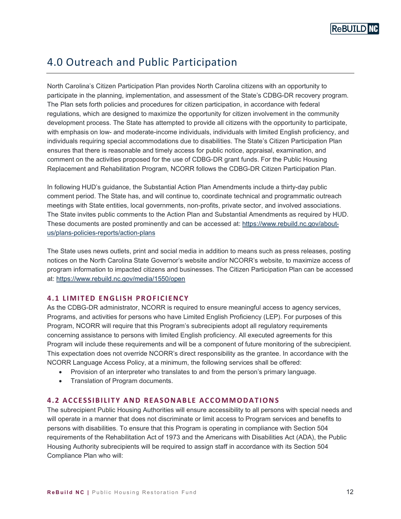## <span id="page-11-0"></span>4.0 Outreach and Public Participation

North Carolina's Citizen Participation Plan provides North Carolina citizens with an opportunity to participate in the planning, implementation, and assessment of the State's CDBG-DR recovery program. The Plan sets forth policies and procedures for citizen participation, in accordance with federal regulations, which are designed to maximize the opportunity for citizen involvement in the community development process. The State has attempted to provide all citizens with the opportunity to participate, with emphasis on low- and moderate-income individuals, individuals with limited English proficiency, and individuals requiring special accommodations due to disabilities. The State's Citizen Participation Plan ensures that there is reasonable and timely access for public notice, appraisal, examination, and comment on the activities proposed for the use of CDBG-DR grant funds. For the Public Housing Replacement and Rehabilitation Program, NCORR follows the CDBG-DR Citizen Participation Plan.

In following HUD's guidance, the Substantial Action Plan Amendments include a thirty-day public comment period. The State has, and will continue to, coordinate technical and programmatic outreach meetings with State entities, local governments, non-profits, private sector, and involved associations. The State invites public comments to the Action Plan and Substantial Amendments as required by HUD. These documents are posted prominently and can be accessed at: [https://www.rebuild.nc.gov/about](https://www.rebuild.nc.gov/about-us/plans-policies-reports/action-plans)[us/plans-policies-reports/action-plans](https://www.rebuild.nc.gov/about-us/plans-policies-reports/action-plans)

The State uses news outlets, print and social media in addition to means such as press releases, posting notices on the North Carolina State Governor's website and/or NCORR's website, to maximize access of program information to impacted citizens and businesses. The Citizen Participation Plan can be accessed at:<https://www.rebuild.nc.gov/media/1550/open>

#### <span id="page-11-1"></span>**4.1 LIMITED ENGLISH PROFICIENCY**

As the CDBG-DR administrator, NCORR is required to ensure meaningful access to agency services, Programs, and activities for persons who have Limited English Proficiency (LEP). For purposes of this Program, NCORR will require that this Program's subrecipients adopt all regulatory requirements concerning assistance to persons with limited English proficiency. All executed agreements for this Program will include these requirements and will be a component of future monitoring of the subrecipient. This expectation does not override NCORR's direct responsibility as the grantee. In accordance with the NCORR Language Access Policy, at a minimum, the following services shall be offered:

- Provision of an interpreter who translates to and from the person's primary language.
- Translation of Program documents.

#### <span id="page-11-2"></span>**4.2 ACCESSIBILITY AND REASONABLE ACCOMMODATIONS**

The subrecipient Public Housing Authorities will ensure accessibility to all persons with special needs and will operate in a manner that does not discriminate or limit access to Program services and benefits to persons with disabilities. To ensure that this Program is operating in compliance with Section 504 requirements of the Rehabilitation Act of 1973 and the Americans with Disabilities Act (ADA), the Public Housing Authority subrecipients will be required to assign staff in accordance with its Section 504 Compliance Plan who will: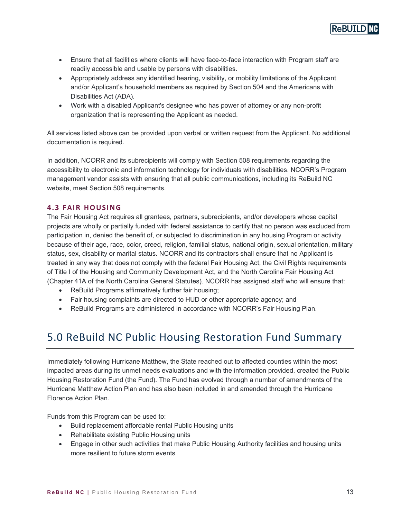

- Ensure that all facilities where clients will have face-to-face interaction with Program staff are readily accessible and usable by persons with disabilities.
- Appropriately address any identified hearing, visibility, or mobility limitations of the Applicant and/or Applicant's household members as required by Section 504 and the Americans with Disabilities Act (ADA).
- Work with a disabled Applicant's designee who has power of attorney or any non-profit organization that is representing the Applicant as needed.

All services listed above can be provided upon verbal or written request from the Applicant. No additional documentation is required.

In addition, NCORR and its subrecipients will comply with Section 508 requirements regarding the accessibility to electronic and information technology for individuals with disabilities. NCORR's Program management vendor assists with ensuring that all public communications, including its ReBuild NC website, meet Section 508 requirements.

#### <span id="page-12-0"></span>**4.3 FAIR HOUSING**

The Fair Housing Act requires all grantees, partners, subrecipients, and/or developers whose capital projects are wholly or partially funded with federal assistance to certify that no person was excluded from participation in, denied the benefit of, or subjected to discrimination in any housing Program or activity because of their age, race, color, creed, religion, familial status, national origin, sexual orientation, military status, sex, disability or marital status. NCORR and its contractors shall ensure that no Applicant is treated in any way that does not comply with the federal Fair Housing Act, the Civil Rights requirements of Title I of the Housing and Community Development Act, and the North Carolina Fair Housing Act (Chapter 41A of the North Carolina General Statutes). NCORR has assigned staff who will ensure that:

- ReBuild Programs affirmatively further fair housing;
- Fair housing complaints are directed to HUD or other appropriate agency; and
- ReBuild Programs are administered in accordance with NCORR's Fair Housing Plan.

## <span id="page-12-1"></span>5.0 ReBuild NC Public Housing Restoration Fund Summary

Immediately following Hurricane Matthew, the State reached out to affected counties within the most impacted areas during its unmet needs evaluations and with the information provided, created the Public Housing Restoration Fund (the Fund). The Fund has evolved through a number of amendments of the Hurricane Matthew Action Plan and has also been included in and amended through the Hurricane Florence Action Plan.

Funds from this Program can be used to:

- Build replacement affordable rental Public Housing units
- Rehabilitate existing Public Housing units
- Engage in other such activities that make Public Housing Authority facilities and housing units more resilient to future storm events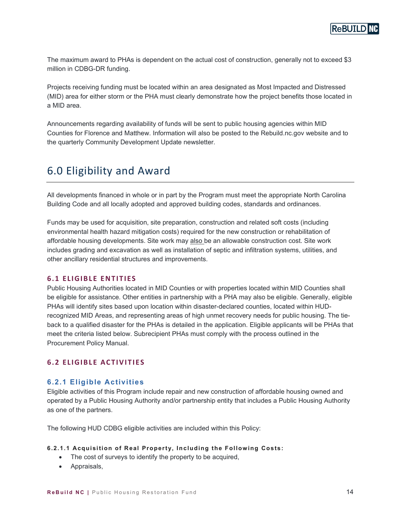

The maximum award to PHAs is dependent on the actual cost of construction, generally not to exceed \$3 million in CDBG-DR funding.

Projects receiving funding must be located within an area designated as Most Impacted and Distressed (MID) area for either storm or the PHA must clearly demonstrate how the project benefits those located in a MID area.

Announcements regarding availability of funds will be sent to public housing agencies within MID Counties for Florence and Matthew. Information will also be posted to the Rebuild.nc.gov website and to the quarterly Community Development Update newsletter.

## <span id="page-13-0"></span>6.0 Eligibility and Award

All developments financed in whole or in part by the Program must meet the appropriate North Carolina Building Code and all locally adopted and approved building codes, standards and ordinances.

Funds may be used for acquisition, site preparation, construction and related soft costs (including environmental health hazard mitigation costs) required for the new construction or rehabilitation of affordable housing developments. Site work may also be an allowable construction cost. Site work includes grading and excavation as well as installation of septic and infiltration systems, utilities, and other ancillary residential structures and improvements.

#### <span id="page-13-1"></span>**6.1 ELIGIBLE ENTITIES**

Public Housing Authorities located in MID Counties or with properties located within MID Counties shall be eligible for assistance. Other entities in partnership with a PHA may also be eligible. Generally, eligible PHAs will identify sites based upon location within disaster-declared counties, located within HUDrecognized MID Areas, and representing areas of high unmet recovery needs for public housing. The tieback to a qualified disaster for the PHAs is detailed in the application. Eligible applicants will be PHAs that meet the criteria listed below. Subrecipient PHAs must comply with the process outlined in the Procurement Policy Manual.

#### <span id="page-13-2"></span>**6.2 ELIGIBLE ACTIVITIES**

#### <span id="page-13-3"></span>**6.2.1 Eligible Activities**

Eligible activities of this Program include repair and new construction of affordable housing owned and operated by a Public Housing Authority and/or partnership entity that includes a Public Housing Authority as one of the partners.

The following HUD CDBG eligible activities are included within this Policy:

#### **6.2.1.1 Acquisition of Real Property, Including the Following Costs:**

- The cost of surveys to identify the property to be acquired,
- Appraisals,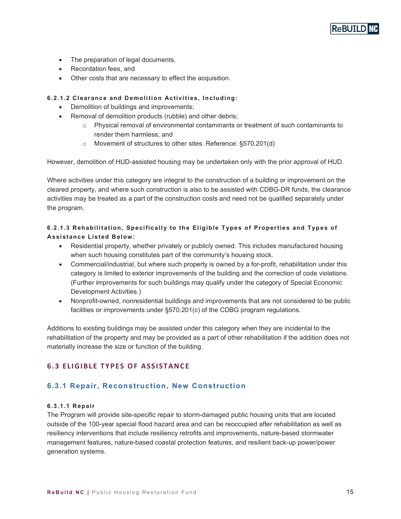

- The preparation of legal documents,
- Recordation fees, and
- Other costs that are necessary to effect the acquisition.

#### **6.2.1.2 Clearance and Demolition Activities, Including:**

- Demolition of buildings and improvements;
- Removal of demolition products (rubble) and other debris;
	- o Physical removal of environmental contaminants or treatment of such contaminants to render them harmless; and
	- o Movement of structures to other sites. Reference: §570.201(d)

However, demolition of HUD-assisted housing may be undertaken only with the prior approval of HUD.

Where activities under this category are integral to the construction of a building or improvement on the cleared property, and where such construction is also to be assisted with CDBG-DR funds, the clearance activities may be treated as a part of the construction costs and need not be qualified separately under the program.

#### **6.2.1.3 Rehabilitation, Specifically to the Eligible Types of Properties and Types of Assistance Listed B elow:**

- Residential property, whether privately or publicly owned. This includes manufactured housing when such housing constitutes part of the community's housing stock.
- Commercial/industrial, but where such property is owned by a for-profit, rehabilitation under this category is limited to exterior improvements of the building and the correction of code violations. (Further improvements for such buildings may qualify under the category of Special Economic Development Activities.)
- Nonprofit-owned, nonresidential buildings and improvements that are not considered to be public facilities or improvements under §570.201(c) of the CDBG program regulations.

Additions to existing buildings may be assisted under this category when they are incidental to the rehabilitation of the property and may be provided as a part of other rehabilitation if the addition does not materially increase the size or function of the building.

#### <span id="page-14-0"></span>**6.3 ELIGIBLE TYPES OF ASSISTANCE**

#### <span id="page-14-1"></span>**6.3.1 Repair, Reconstruction, New Construction**

#### **6.3.1.1 Repair**

The Program will provide site-specific repair to storm-damaged public housing units that are located outside of the 100-year special flood hazard area and can be reoccupied after rehabilitation as well as resiliency interventions that include resiliency retrofits and improvements, nature-based stormwater management features, nature-based coastal protection features, and resilient back-up power/power generation systems.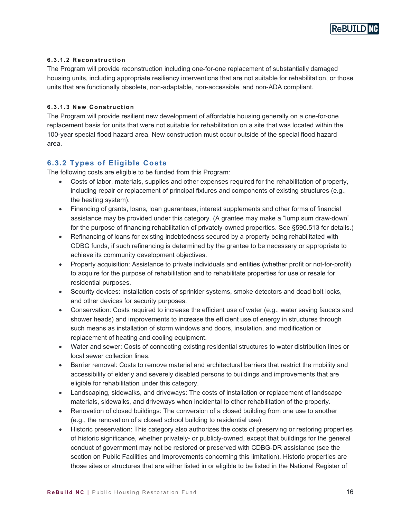

#### **6.3.1.2 Reconstruction**

The Program will provide reconstruction including one-for-one replacement of substantially damaged housing units, including appropriate resiliency interventions that are not suitable for rehabilitation, or those units that are functionally obsolete, non-adaptable, non-accessible, and non-ADA compliant.

#### **6.3.1.3 New Construction**

The Program will provide resilient new development of affordable housing generally on a one-for-one replacement basis for units that were not suitable for rehabilitation on a site that was located within the 100-year special flood hazard area. New construction must occur outside of the special flood hazard area.

#### <span id="page-15-0"></span>**6.3.2 Types of Eligible Costs**

The following costs are eligible to be funded from this Program:

- Costs of labor, materials, supplies and other expenses required for the rehabilitation of property, including repair or replacement of principal fixtures and components of existing structures (e.g., the heating system).
- Financing of grants, loans, loan guarantees, interest supplements and other forms of financial assistance may be provided under this category. (A grantee may make a "lump sum draw-down" for the purpose of financing rehabilitation of privately-owned properties. See §590.513 for details.)
- Refinancing of loans for existing indebtedness secured by a property being rehabilitated with CDBG funds, if such refinancing is determined by the grantee to be necessary or appropriate to achieve its community development objectives.
- Property acquisition: Assistance to private individuals and entities (whether profit or not-for-profit) to acquire for the purpose of rehabilitation and to rehabilitate properties for use or resale for residential purposes.
- Security devices: Installation costs of sprinkler systems, smoke detectors and dead bolt locks, and other devices for security purposes.
- Conservation: Costs required to increase the efficient use of water (e.g., water saving faucets and shower heads) and improvements to increase the efficient use of energy in structures through such means as installation of storm windows and doors, insulation, and modification or replacement of heating and cooling equipment.
- Water and sewer: Costs of connecting existing residential structures to water distribution lines or local sewer collection lines.
- Barrier removal: Costs to remove material and architectural barriers that restrict the mobility and accessibility of elderly and severely disabled persons to buildings and improvements that are eligible for rehabilitation under this category.
- Landscaping, sidewalks, and driveways: The costs of installation or replacement of landscape materials, sidewalks, and driveways when incidental to other rehabilitation of the property.
- Renovation of closed buildings: The conversion of a closed building from one use to another (e.g., the renovation of a closed school building to residential use).
- Historic preservation: This category also authorizes the costs of preserving or restoring properties of historic significance, whether privately- or publicly-owned, except that buildings for the general conduct of government may not be restored or preserved with CDBG-DR assistance (see the section on Public Facilities and Improvements concerning this limitation). Historic properties are those sites or structures that are either listed in or eligible to be listed in the National Register of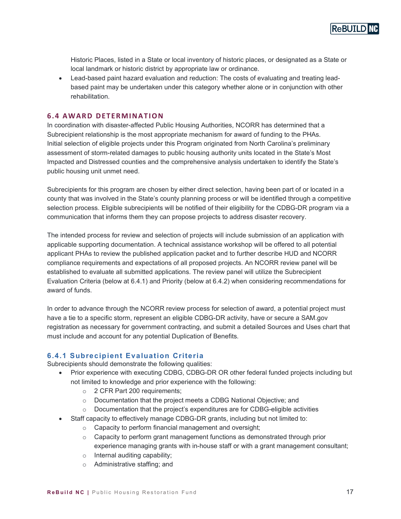Historic Places, listed in a State or local inventory of historic places, or designated as a State or local landmark or historic district by appropriate law or ordinance.

• Lead-based paint hazard evaluation and reduction: The costs of evaluating and treating leadbased paint may be undertaken under this category whether alone or in conjunction with other rehabilitation.

#### <span id="page-16-0"></span>**6.4 AWARD DETERMINATION**

In coordination with disaster-affected Public Housing Authorities, NCORR has determined that a Subrecipient relationship is the most appropriate mechanism for award of funding to the PHAs. Initial selection of eligible projects under this Program originated from North Carolina's preliminary assessment of storm-related damages to public housing authority units located in the State's Most Impacted and Distressed counties and the comprehensive analysis undertaken to identify the State's public housing unit unmet need.

Subrecipients for this program are chosen by either direct selection, having been part of or located in a county that was involved in the State's county planning process or will be identified through a competitive selection process. Eligible subrecipients will be notified of their eligibility for the CDBG-DR program via a communication that informs them they can propose projects to address disaster recovery.

The intended process for review and selection of projects will include submission of an application with applicable supporting documentation. A technical assistance workshop will be offered to all potential applicant PHAs to review the published application packet and to further describe HUD and NCORR compliance requirements and expectations of all proposed projects. An NCORR review panel will be established to evaluate all submitted applications. The review panel will utilize the Subrecipient Evaluation Criteria (below at 6.4.1) and Priority (below at 6.4.2) when considering recommendations for award of funds.

In order to advance through the NCORR review process for selection of award, a potential project must have a tie to a specific storm, represent an eligible CDBG-DR activity, have or secure a SAM.gov registration as necessary for government contracting, and submit a detailed Sources and Uses chart that must include and account for any potential Duplication of Benefits.

#### <span id="page-16-1"></span>**6.4.1 Subrecipient Evaluation Criteria**

Subrecipients should demonstrate the following qualities:

- Prior experience with executing CDBG, CDBG-DR OR other federal funded projects including but not limited to knowledge and prior experience with the following:
	- o 2 CFR Part 200 requirements;
	- o Documentation that the project meets a CDBG National Objective; and
	- $\circ$  Documentation that the project's expenditures are for CDBG-eligible activities
- Staff capacity to effectively manage CDBG-DR grants, including but not limited to:
	- o Capacity to perform financial management and oversight;
	- $\circ$  Capacity to perform grant management functions as demonstrated through prior experience managing grants with in-house staff or with a grant management consultant;
	- o Internal auditing capability;
	- o Administrative staffing; and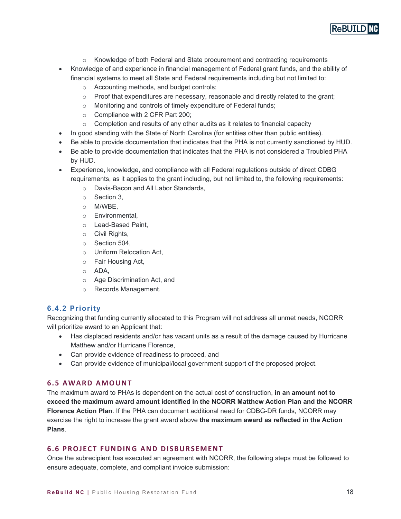

- $\circ$  Knowledge of both Federal and State procurement and contracting requirements
- Knowledge of and experience in financial management of Federal grant funds, and the ability of financial systems to meet all State and Federal requirements including but not limited to:
	- o Accounting methods, and budget controls;
	- $\circ$  Proof that expenditures are necessary, reasonable and directly related to the grant;
	- o Monitoring and controls of timely expenditure of Federal funds;
	- o Compliance with 2 CFR Part 200;
	- $\circ$  Completion and results of any other audits as it relates to financial capacity
- In good standing with the State of North Carolina (for entities other than public entities).
- Be able to provide documentation that indicates that the PHA is not currently sanctioned by HUD.
- Be able to provide documentation that indicates that the PHA is not considered a Troubled PHA by HUD.
- Experience, knowledge, and compliance with all Federal regulations outside of direct CDBG requirements, as it applies to the grant including, but not limited to, the following requirements:
	- o Davis-Bacon and All Labor Standards,
	- o Section 3,
	- o M/WBE,
	- o Environmental,
	- o Lead-Based Paint,
	- o Civil Rights,
	- o Section 504,
	- o Uniform Relocation Act,
	- o Fair Housing Act,
	- o ADA,
	- o Age Discrimination Act, and
	- o Records Management.

#### <span id="page-17-0"></span>**6.4.2 Priority**

Recognizing that funding currently allocated to this Program will not address all unmet needs, NCORR will prioritize award to an Applicant that:

- Has displaced residents and/or has vacant units as a result of the damage caused by Hurricane Matthew and/or Hurricane Florence,
- Can provide evidence of readiness to proceed, and
- Can provide evidence of municipal/local government support of the proposed project.

#### <span id="page-17-1"></span>**6.5 AWARD AMOUNT**

The maximum award to PHAs is dependent on the actual cost of construction, **in an amount not to exceed the maximum award amount identified in the NCORR Matthew Action Plan and the NCORR Florence Action Plan**. If the PHA can document additional need for CDBG-DR funds, NCORR may exercise the right to increase the grant award above **the maximum award as reflected in the Action Plans**.

#### <span id="page-17-2"></span>**6.6 PROJECT FUNDING AND DISBURSEMENT**

Once the subrecipient has executed an agreement with NCORR, the following steps must be followed to ensure adequate, complete, and compliant invoice submission: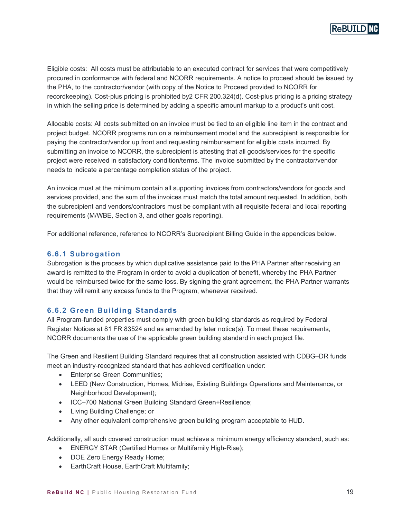

Eligible costs: All costs must be attributable to an executed contract for services that were competitively procured in conformance with federal and NCORR requirements. A notice to proceed should be issued by the PHA, to the contractor/vendor (with copy of the Notice to Proceed provided to NCORR for recordkeeping). Cost-plus pricing is prohibited by2 CFR 200.324(d). Cost-plus pricing is a pricing strategy in which the selling price is determined by adding a specific amount markup to a product's unit cost.

Allocable costs: All costs submitted on an invoice must be tied to an eligible line item in the contract and project budget. NCORR programs run on a reimbursement model and the subrecipient is responsible for paying the contractor/vendor up front and requesting reimbursement for eligible costs incurred. By submitting an invoice to NCORR, the subrecipient is attesting that all goods/services for the specific project were received in satisfactory condition/terms. The invoice submitted by the contractor/vendor needs to indicate a percentage completion status of the project.

An invoice must at the minimum contain all supporting invoices from contractors/vendors for goods and services provided, and the sum of the invoices must match the total amount requested. In addition, both the subrecipient and vendors/contractors must be compliant with all requisite federal and local reporting requirements (M/WBE, Section 3, and other goals reporting).

For additional reference, reference to NCORR's Subrecipient Billing Guide in the appendices below.

#### <span id="page-18-0"></span>**6.6.1 Subrogation**

Subrogation is the process by which duplicative assistance paid to the PHA Partner after receiving an award is remitted to the Program in order to avoid a duplication of benefit, whereby the PHA Partner would be reimbursed twice for the same loss. By signing the grant agreement, the PHA Partner warrants that they will remit any excess funds to the Program, whenever received.

#### <span id="page-18-1"></span>**6.6.2 Green Building Standards**

All Program-funded properties must comply with green building standards as required by Federal Register Notices at 81 FR 83524 and as amended by later notice(s). To meet these requirements, NCORR documents the use of the applicable green building standard in each project file.

The Green and Resilient Building Standard requires that all construction assisted with CDBG–DR funds meet an industry-recognized standard that has achieved certification under:

- Enterprise Green Communities;
- LEED (New Construction, Homes, Midrise, Existing Buildings Operations and Maintenance, or Neighborhood Development);
- ICC–700 National Green Building Standard Green+Resilience;
- Living Building Challenge; or
- Any other equivalent comprehensive green building program acceptable to HUD.

Additionally, all such covered construction must achieve a minimum energy efficiency standard, such as:

- ENERGY STAR (Certified Homes or Multifamily High-Rise);
- DOE Zero Energy Ready Home;
- EarthCraft House, EarthCraft Multifamily;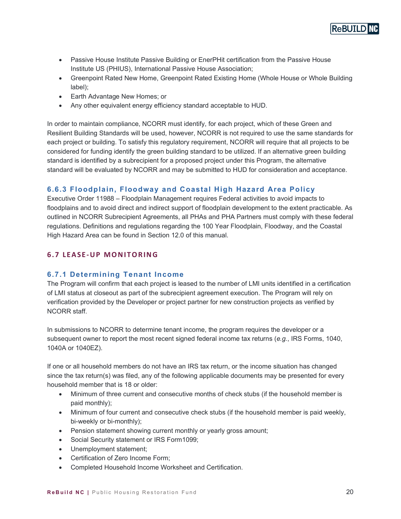

- Passive House Institute Passive Building or EnerPHit certification from the Passive House Institute US (PHIUS), International Passive House Association;
- Greenpoint Rated New Home, Greenpoint Rated Existing Home (Whole House or Whole Building label);
- Earth Advantage New Homes; or
- Any other equivalent energy efficiency standard acceptable to HUD.

In order to maintain compliance, NCORR must identify, for each project, which of these Green and Resilient Building Standards will be used, however, NCORR is not required to use the same standards for each project or building. To satisfy this regulatory requirement, NCORR will require that all projects to be considered for funding identify the green building standard to be utilized. If an alternative green building standard is identified by a subrecipient for a proposed project under this Program, the alternative standard will be evaluated by NCORR and may be submitted to HUD for consideration and acceptance.

#### <span id="page-19-0"></span>**6.6.3 Floodplain, Floodway and Coastal High Hazard Area Policy**

Executive Order 11988 – Floodplain Management requires Federal activities to avoid impacts to floodplains and to avoid direct and indirect support of floodplain development to the extent practicable. As outlined in NCORR Subrecipient Agreements, all PHAs and PHA Partners must comply with these federal regulations. Definitions and regulations regarding the 100 Year Floodplain, Floodway, and the Coastal High Hazard Area can be found in Section 12.0 of this manual.

#### <span id="page-19-1"></span>**6.7 LEASE-UP MONITORING**

#### <span id="page-19-2"></span>**6.7.1 Determining Tenant Income**

The Program will confirm that each project is leased to the number of LMI units identified in a certification of LMI status at closeout as part of the subrecipient agreement execution. The Program will rely on verification provided by the Developer or project partner for new construction projects as verified by NCORR staff.

In submissions to NCORR to determine tenant income, the program requires the developer or a subsequent owner to report the most recent signed federal income tax returns (*e.g.*, IRS Forms, 1040, 1040A or 1040EZ).

If one or all household members do not have an IRS tax return, or the income situation has changed since the tax return(s) was filed, any of the following applicable documents may be presented for every household member that is 18 or older:

- Minimum of three current and consecutive months of check stubs (if the household member is paid monthly);
- Minimum of four current and consecutive check stubs (if the household member is paid weekly, bi-weekly or bi-monthly);
- Pension statement showing current monthly or yearly gross amount;
- Social Security statement or IRS Form1099;
- Unemployment statement;
- Certification of Zero Income Form;
- Completed Household Income Worksheet and Certification.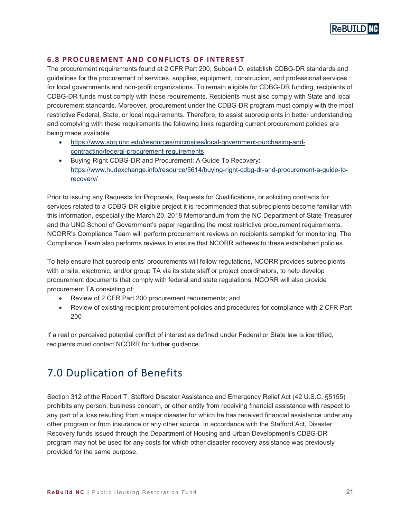

#### <span id="page-20-0"></span>**6.8 PROCUREMENT AND CONFLICTS OF INTEREST**

The procurement requirements found at 2 CFR Part 200, Subpart D, establish CDBG-DR standards and guidelines for the procurement of services, supplies, equipment, construction, and professional services for local governments and non-profit organizations. To remain eligible for CDBG-DR funding, recipients of CDBG-DR funds must comply with those requirements. Recipients must also comply with State and local procurement standards. Moreover, procurement under the CDBG-DR program must comply with the most restrictive Federal, State, or local requirements. Therefore, to assist subrecipients in better understanding and complying with these requirements the following links regarding current procurement policies are being made available:

- [https://www.sog.unc.edu/resources/microsites/local-government-purchasing-and](https://www.sog.unc.edu/resources/microsites/local-government-purchasing-and-contracting/federal-procurement-requirements)[contracting/federal-procurement-requirements](https://www.sog.unc.edu/resources/microsites/local-government-purchasing-and-contracting/federal-procurement-requirements)
- Buying Right CDBG-DR and Procurement: A Guide To Recovery**:**  [https://www.hudexchange.info/resource/5614/buying-right-cdbg-dr-and-procurement-a-guide-to](https://www.hudexchange.info/resource/5614/buying-right-cdbg-dr-and-procurement-a-guide-to-recovery/)[recovery/](https://www.hudexchange.info/resource/5614/buying-right-cdbg-dr-and-procurement-a-guide-to-recovery/)

Prior to issuing any Requests for Proposals, Requests for Qualifications, or soliciting contracts for services related to a CDBG-DR eligible project it is recommended that subrecipients become familiar with this information, especially the March 20, 2018 Memorandum from the NC Department of State Treasurer and the UNC School of Government's paper regarding the most restrictive procurement requirements. NCORR's Compliance Team will perform procurement reviews on recipients sampled for monitoring. The Compliance Team also performs reviews to ensure that NCORR adheres to these established policies.

To help ensure that subrecipients' procurements will follow regulations, NCORR provides subrecipients with onsite, electronic, and/or group TA via its state staff or project coordinators, to help develop procurement documents that comply with federal and state regulations. NCORR will also provide procurement TA consisting of:

- Review of 2 CFR Part 200 procurement requirements; and
- Review of existing recipient procurement policies and procedures for compliance with 2 CFR Part 200

If a real or perceived potential conflict of interest as defined under Federal or State law is identified, recipients must contact NCORR for further guidance.

## <span id="page-20-1"></span>7.0 Duplication of Benefits

Section 312 of the Robert T. Stafford Disaster Assistance and Emergency Relief Act (42 U.S.C. §5155) prohibits any person, business concern, or other entity from receiving financial assistance with respect to any part of a loss resulting from a major disaster for which he has received financial assistance under any other program or from insurance or any other source. In accordance with the Stafford Act, Disaster Recovery funds issued through the Department of Housing and Urban Development's CDBG-DR program may not be used for any costs for which other disaster recovery assistance was previously provided for the same purpose.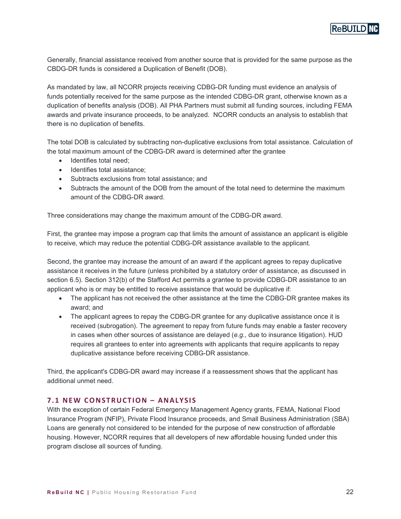

Generally, financial assistance received from another source that is provided for the same purpose as the CBDG-DR funds is considered a Duplication of Benefit (DOB).

As mandated by law, all NCORR projects receiving CDBG-DR funding must evidence an analysis of funds potentially received for the same purpose as the intended CDBG-DR grant, otherwise known as a duplication of benefits analysis (DOB). All PHA Partners must submit all funding sources, including FEMA awards and private insurance proceeds, to be analyzed. NCORR conducts an analysis to establish that there is no duplication of benefits.

The total DOB is calculated by subtracting non-duplicative exclusions from total assistance. Calculation of the total maximum amount of the CDBG-DR award is determined after the grantee

- Identifies total need;
- Identifies total assistance;
- Subtracts exclusions from total assistance; and
- Subtracts the amount of the DOB from the amount of the total need to determine the maximum amount of the CDBG-DR award.

Three considerations may change the maximum amount of the CDBG-DR award.

First, the grantee may impose a program cap that limits the amount of assistance an applicant is eligible to receive, which may reduce the potential CDBG-DR assistance available to the applicant.

Second, the grantee may increase the amount of an award if the applicant agrees to repay duplicative assistance it receives in the future (unless prohibited by a statutory order of assistance, as discussed in section 6.5). Section 312(b) of the Stafford Act permits a grantee to provide CDBG-DR assistance to an applicant who is or may be entitled to receive assistance that would be duplicative if:

- The applicant has not received the other assistance at the time the CDBG-DR grantee makes its award; and
- The applicant agrees to repay the CDBG-DR grantee for any duplicative assistance once it is received (subrogation). The agreement to repay from future funds may enable a faster recovery in cases when other sources of assistance are delayed (*e.g.,* due to insurance litigation). HUD requires all grantees to enter into agreements with applicants that require applicants to repay duplicative assistance before receiving CDBG-DR assistance.

Third, the applicant's CDBG-DR award may increase if a reassessment shows that the applicant has additional unmet need.

#### <span id="page-21-0"></span>**7.1 NEW CONSTRUCTION – ANALYSIS**

With the exception of certain Federal Emergency Management Agency grants, FEMA, National Flood Insurance Program (NFIP), Private Flood Insurance proceeds, and Small Business Administration (SBA) Loans are generally not considered to be intended for the purpose of new construction of affordable housing. However, NCORR requires that all developers of new affordable housing funded under this program disclose all sources of funding.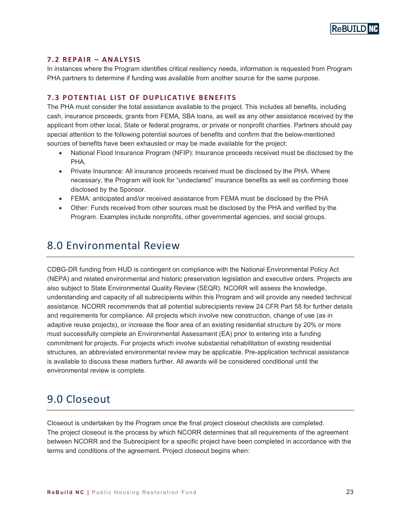

#### <span id="page-22-0"></span>**7.2 REPAIR – ANALYSIS**

In instances where the Program identifies critical resiliency needs, information is requested from Program PHA partners to determine if funding was available from another source for the same purpose.

#### <span id="page-22-1"></span>**7.3 POTENTIAL LIST OF DUPLICATIVE BENEFITS**

The PHA must consider the total assistance available to the project. This includes all benefits, including cash, insurance proceeds, grants from FEMA, SBA loans, as well as any other assistance received by the applicant from other local, State or federal programs, or private or nonprofit charities. Partners should pay special attention to the following potential sources of benefits and confirm that the below-mentioned sources of benefits have been exhausted or may be made available for the project:

- National Flood Insurance Program (NFIP): Insurance proceeds received must be disclosed by the PHA.
- Private Insurance: All insurance proceeds received must be disclosed by the PHA. Where necessary, the Program will look for "undeclared" insurance benefits as well as confirming those disclosed by the Sponsor.
- FEMA: anticipated and/or received assistance from FEMA must be disclosed by the PHA
- Other: Funds received from other sources must be disclosed by the PHA and verified by the Program. Examples include nonprofits, other governmental agencies, and social groups.

### <span id="page-22-2"></span>8.0 Environmental Review

CDBG-DR funding from HUD is contingent on compliance with the National Environmental Policy Act (NEPA) and related environmental and historic preservation legislation and executive orders. Projects are also subject to State Environmental Quality Review (SEQR). NCORR will assess the knowledge, understanding and capacity of all subrecipients within this Program and will provide any needed technical assistance. NCORR recommends that all potential subrecipients review 24 CFR Part 58 for further details and requirements for compliance. All projects which involve new construction, change of use (as in adaptive reuse projects), or increase the floor area of an existing residential structure by 20% or more must successfully complete an Environmental Assessment (EA) prior to entering into a funding commitment for projects. For projects which involve substantial rehabilitation of existing residential structures, an abbreviated environmental review may be applicable. Pre-application technical assistance is available to discuss these matters further. All awards will be considered conditional until the environmental review is complete.

## <span id="page-22-3"></span>9.0 Closeout

Closeout is undertaken by the Program once the final project closeout checklists are completed. The project closeout is the process by which NCORR determines that all requirements of the agreement between NCORR and the Subrecipient for a specific project have been completed in accordance with the terms and conditions of the agreement. Project closeout begins when: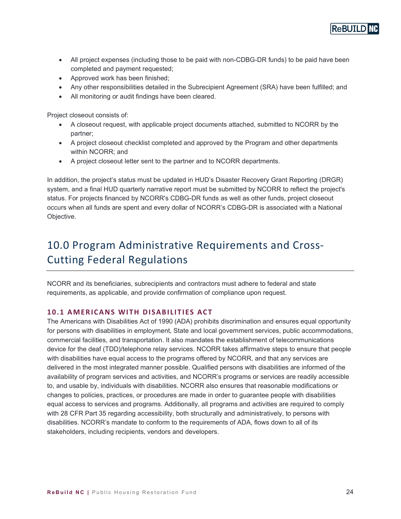**ReBUILD NG** 

- All project expenses (including those to be paid with non-CDBG-DR funds) to be paid have been completed and payment requested;
- Approved work has been finished;
- Any other responsibilities detailed in the Subrecipient Agreement (SRA) have been fulfilled; and
- All monitoring or audit findings have been cleared.

Project closeout consists of:

- A closeout request, with applicable project documents attached, submitted to NCORR by the partner;
- A project closeout checklist completed and approved by the Program and other departments within NCORR; and
- A project closeout letter sent to the partner and to NCORR departments.

In addition, the project's status must be updated in HUD's Disaster Recovery Grant Reporting (DRGR) system, and a final HUD quarterly narrative report must be submitted by NCORR to reflect the project's status. For projects financed by NCORR's CDBG-DR funds as well as other funds, project closeout occurs when all funds are spent and every dollar of NCORR's CDBG-DR is associated with a National Objective.

## <span id="page-23-0"></span>10.0 Program Administrative Requirements and Cross-Cutting Federal Regulations

NCORR and its beneficiaries, subrecipients and contractors must adhere to federal and state requirements, as applicable, and provide confirmation of compliance upon request.

#### <span id="page-23-1"></span>**10.1 AMERICANS WITH DISABILITIES ACT**

The Americans with Disabilities Act of 1990 (ADA) prohibits discrimination and ensures equal opportunity for persons with disabilities in employment, State and local government services, public accommodations, commercial facilities, and transportation. It also mandates the establishment of telecommunications device for the deaf (TDD)/telephone relay services. NCORR takes affirmative steps to ensure that people with disabilities have equal access to the programs offered by NCORR, and that any services are delivered in the most integrated manner possible. Qualified persons with disabilities are informed of the availability of program services and activities, and NCORR's programs or services are readily accessible to, and usable by, individuals with disabilities. NCORR also ensures that reasonable modifications or changes to policies, practices, or procedures are made in order to guarantee people with disabilities equal access to services and programs. Additionally, all programs and activities are required to comply with 28 CFR Part 35 regarding accessibility, both structurally and administratively, to persons with disabilities. NCORR's mandate to conform to the requirements of ADA, flows down to all of its stakeholders, including recipients, vendors and developers.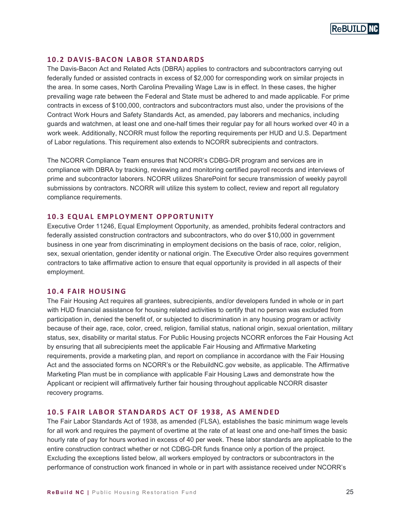

#### <span id="page-24-0"></span>**10.2 DAVIS-BACON LABOR STANDARDS**

The Davis-Bacon Act and Related Acts (DBRA) applies to contractors and subcontractors carrying out federally funded or assisted contracts in excess of \$2,000 for corresponding work on similar projects in the area. In some cases, North Carolina Prevailing Wage Law is in effect. In these cases, the higher prevailing wage rate between the Federal and State must be adhered to and made applicable. For prime contracts in excess of \$100,000, contractors and subcontractors must also, under the provisions of the Contract Work Hours and Safety Standards Act, as amended, pay laborers and mechanics, including guards and watchmen, at least one and one-half times their regular pay for all hours worked over 40 in a work week. Additionally, NCORR must follow the reporting requirements per HUD and U.S. Department of Labor regulations. This requirement also extends to NCORR subrecipients and contractors.

The NCORR Compliance Team ensures that NCORR's CDBG-DR program and services are in compliance with DBRA by tracking, reviewing and monitoring certified payroll records and interviews of prime and subcontractor laborers. NCORR utilizes SharePoint for secure transmission of weekly payroll submissions by contractors. NCORR will utilize this system to collect, review and report all regulatory compliance requirements.

#### <span id="page-24-1"></span>**10.3 EQUAL EMPLOYMENT OPPORTUNITY**

Executive Order 11246, Equal Employment Opportunity, as amended, prohibits federal contractors and federally assisted construction contractors and subcontractors, who do over \$10,000 in government business in one year from discriminating in employment decisions on the basis of race, color, religion, sex, sexual orientation, gender identity or national origin. The Executive Order also requires government contractors to take affirmative action to ensure that equal opportunity is provided in all aspects of their employment.

#### <span id="page-24-2"></span>**10.4 FAIR HOUSING**

The Fair Housing Act requires all grantees, subrecipients, and/or developers funded in whole or in part with HUD financial assistance for housing related activities to certify that no person was excluded from participation in, denied the benefit of, or subjected to discrimination in any housing program or activity because of their age, race, color, creed, religion, familial status, national origin, sexual orientation, military status, sex, disability or marital status. For Public Housing projects NCORR enforces the Fair Housing Act by ensuring that all subrecipients meet the applicable Fair Housing and Affirmative Marketing requirements, provide a marketing plan, and report on compliance in accordance with the Fair Housing Act and the associated forms on NCORR's or the RebuildNC.gov website, as applicable. The Affirmative Marketing Plan must be in compliance with applicable Fair Housing Laws and demonstrate how the Applicant or recipient will affirmatively further fair housing throughout applicable NCORR disaster recovery programs.

#### <span id="page-24-3"></span>**10.5 FAIR LABOR STANDARDS ACT OF 1938, AS AMENDED**

The Fair Labor Standards Act of 1938, as amended (FLSA), establishes the basic minimum wage levels for all work and requires the payment of overtime at the rate of at least one and one-half times the basic hourly rate of pay for hours worked in excess of 40 per week. These labor standards are applicable to the entire construction contract whether or not CDBG-DR funds finance only a portion of the project. Excluding the exceptions listed below, all workers employed by contractors or subcontractors in the performance of construction work financed in whole or in part with assistance received under NCORR's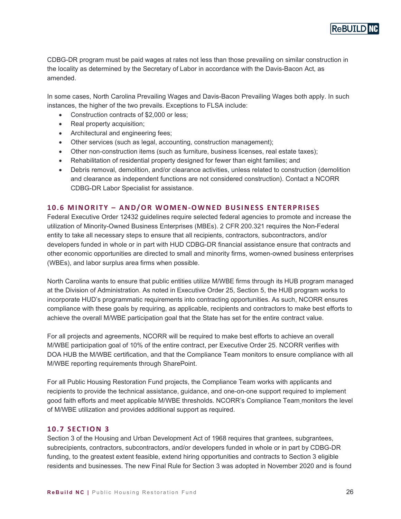CDBG-DR program must be paid wages at rates not less than those prevailing on similar construction in the locality as determined by the Secretary of Labor in accordance with the Davis-Bacon Act, as amended.

In some cases, North Carolina Prevailing Wages and Davis-Bacon Prevailing Wages both apply. In such instances, the higher of the two prevails. Exceptions to FLSA include:

- Construction contracts of \$2,000 or less;
- Real property acquisition;
- Architectural and engineering fees;
- Other services (such as legal, accounting, construction management);
- Other non-construction items (such as furniture, business licenses, real estate taxes);
- Rehabilitation of residential property designed for fewer than eight families; and
- Debris removal, demolition, and/or clearance activities, unless related to construction (demolition and clearance as independent functions are not considered construction). Contact a NCORR CDBG-DR Labor Specialist for assistance.

#### <span id="page-25-0"></span>**10.6 MINORITY – AND/OR WOMEN-OWNED BUSINESS ENTERPRISES**

Federal Executive Order 12432 guidelines require selected federal agencies to promote and increase the utilization of Minority-Owned Business Enterprises (MBEs). 2 CFR 200.321 requires the Non-Federal entity to take all necessary steps to ensure that all recipients, contractors, subcontractors, and/or developers funded in whole or in part with HUD CDBG-DR financial assistance ensure that contracts and other economic opportunities are directed to small and minority firms, women-owned business enterprises (WBEs), and labor surplus area firms when possible.

North Carolina wants to ensure that public entities utilize M/WBE firms through its HUB program managed at the Division of Administration. As noted in Executive Order 25, Section 5, the HUB program works to incorporate HUD's programmatic requirements into contracting opportunities. As such, NCORR ensures compliance with these goals by requiring, as applicable, recipients and contractors to make best efforts to achieve the overall M/WBE participation goal that the State has set for the entire contract value.

For all projects and agreements, NCORR will be required to make best efforts to achieve an overall M/WBE participation goal of 10% of the entire contract, per Executive Order 25. NCORR verifies with DOA HUB the M/WBE certification, and that the Compliance Team monitors to ensure compliance with all M/WBE reporting requirements through SharePoint.

For all Public Housing Restoration Fund projects, the Compliance Team works with applicants and recipients to provide the technical assistance, guidance, and one-on-one support required to implement good faith efforts and meet applicable M/WBE thresholds. NCORR's Compliance Team monitors the level of M/WBE utilization and provides additional support as required.

#### <span id="page-25-1"></span>**10.7 SECTION 3**

Section 3 of the Housing and Urban Development Act of 1968 requires that grantees, subgrantees, subrecipients, contractors, subcontractors, and/or developers funded in whole or in part by CDBG-DR funding, to the greatest extent feasible, extend hiring opportunities and contracts to Section 3 eligible residents and businesses. The new Final Rule for Section 3 was adopted in November 2020 and is found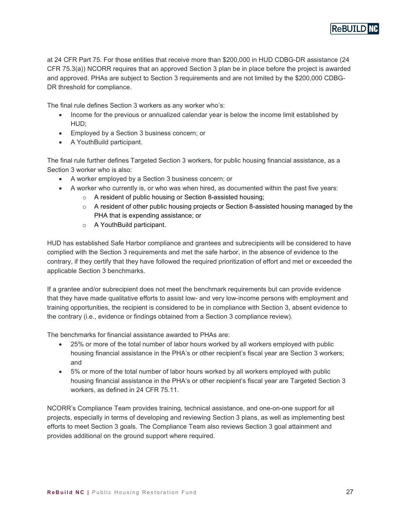at 24 CFR Part 75. For those entities that receive more than \$200,000 in HUD CDBG-DR assistance (24 CFR 75.3(a)) NCORR requires that an approved Section 3 plan be in place before the project is awarded and approved. PHAs are subject to Section 3 requirements and are not limited by the \$200,000 CDBG-DR threshold for compliance.

The final rule defines Section 3 workers as any worker who's:

- Income for the previous or annualized calendar year is below the income limit established by HUD;
- Employed by a Section 3 business concern; or
- A YouthBuild participant.

The final rule further defines Targeted Section 3 workers, for public housing financial assistance, as a Section 3 worker who is also:

- A worker employed by a Section 3 business concern; or
- A worker who currently is, or who was when hired, as documented within the past five years:
	- o A resident of public housing or Section 8-assisted housing;
	- $\circ$  A resident of other public housing projects or Section 8-assisted housing managed by the PHA that is expending assistance; or
	- o A YouthBuild participant.

HUD has established Safe Harbor compliance and grantees and subrecipients will be considered to have complied with the Section 3 requirements and met the safe harbor, in the absence of evidence to the contrary, if they certify that they have followed the required prioritization of effort and met or exceeded the applicable Section 3 benchmarks.

If a grantee and/or subrecipient does not meet the benchmark requirements but can provide evidence that they have made qualitative efforts to assist low- and very low-income persons with employment and training opportunities, the recipient is considered to be in compliance with Section 3, absent evidence to the contrary (i.e., evidence or findings obtained from a Section 3 compliance review).

The benchmarks for financial assistance awarded to PHAs are:

- 25% or more of the total number of labor hours worked by all workers employed with public housing financial assistance in the PHA's or other recipient's fiscal year are Section 3 workers; and
- 5% or more of the total number of labor hours worked by all workers employed with public housing financial assistance in the PHA's or other recipient's fiscal year are Targeted Section 3 workers, as defined in 24 CFR 75.11.

NCORR's Compliance Team provides training, technical assistance, and one-on-one support for all projects, especially in terms of developing and reviewing Section 3 plans, as well as implementing best efforts to meet Section 3 goals. The Compliance Team also reviews Section 3 goal attainment and provides additional on the ground support where required.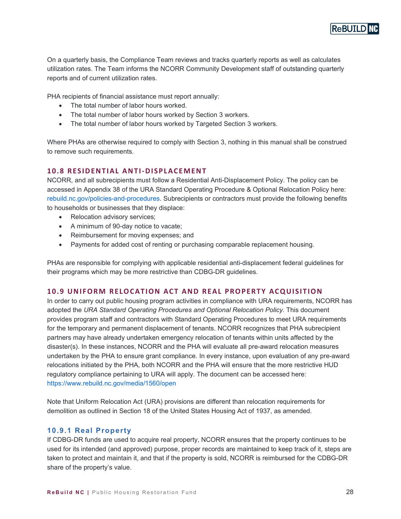On a quarterly basis, the Compliance Team reviews and tracks quarterly reports as well as calculates utilization rates. The Team informs the NCORR Community Development staff of outstanding quarterly reports and of current utilization rates.

PHA recipients of financial assistance must report annually:

- The total number of labor hours worked.
- The total number of labor hours worked by Section 3 workers.
- The total number of labor hours worked by Targeted Section 3 workers.

Where PHAs are otherwise required to comply with Section 3, nothing in this manual shall be construed to remove such requirements.

#### <span id="page-27-0"></span>**10.8 RESIDENTIAL ANTI-DISPLACEMENT**

NCORR, and all subrecipients must follow a Residential Anti-Displacement Policy. The policy can be accessed in Appendix 38 of the URA Standard Operating Procedure & Optional Relocation Policy here: rebuild.nc.gov/policies-and-procedures. Subrecipients or contractors must provide the following benefits to households or businesses that they displace:

- Relocation advisory services;
- A minimum of 90-day notice to vacate;
- Reimbursement for moving expenses; and
- Payments for added cost of renting or purchasing comparable replacement housing.

PHAs are responsible for complying with applicable residential anti-displacement federal guidelines for their programs which may be more restrictive than CDBG-DR guidelines.

#### <span id="page-27-1"></span>**10.9 UNIFORM RELOCATION ACT AND REAL PROPERTY ACQUISITION**

In order to carry out public housing program activities in compliance with URA requirements, NCORR has adopted the *URA Standard Operating Procedures and Optional Relocation Policy.* This document provides program staff and contractors with Standard Operating Procedures to meet URA requirements for the temporary and permanent displacement of tenants. NCORR recognizes that PHA subrecipient partners may have already undertaken emergency relocation of tenants within units affected by the disaster(s). In these instances, NCORR and the PHA will evaluate all pre-award relocation measures undertaken by the PHA to ensure grant compliance. In every instance, upon evaluation of any pre-award relocations initiated by the PHA, both NCORR and the PHA will ensure that the more restrictive HUD regulatory compliance pertaining to URA will apply. The document can be accessed here: https://www.rebuild.nc.gov/media/1560/open

Note that Uniform Relocation Act (URA) provisions are different than relocation requirements for demolition as outlined in Section 18 of the United States Housing Act of 1937, as amended.

#### <span id="page-27-2"></span>**10.9.1 Real Property**

If CDBG-DR funds are used to acquire real property, NCORR ensures that the property continues to be used for its intended (and approved) purpose, proper records are maintained to keep track of it, steps are taken to protect and maintain it, and that if the property is sold, NCORR is reimbursed for the CDBG-DR share of the property's value.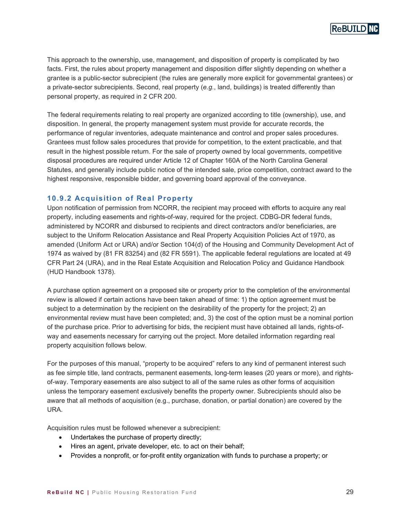

This approach to the ownership, use, management, and disposition of property is complicated by two facts. First, the rules about property management and disposition differ slightly depending on whether a grantee is a public-sector subrecipient (the rules are generally more explicit for governmental grantees) or a private-sector subrecipients. Second, real property (*e.g.*, land, buildings) is treated differently than personal property, as required in 2 CFR 200.

The federal requirements relating to real property are organized according to title (ownership), use, and disposition. In general, the property management system must provide for accurate records, the performance of regular inventories, adequate maintenance and control and proper sales procedures. Grantees must follow sales procedures that provide for competition, to the extent practicable, and that result in the highest possible return. For the sale of property owned by local governments, competitive disposal procedures are required under Article 12 of Chapter 160A of the North Carolina General Statutes, and generally include public notice of the intended sale, price competition, contract award to the highest responsive, responsible bidder, and governing board approval of the conveyance.

#### <span id="page-28-0"></span>**10.9.2 Acquisition of Real Property**

Upon notification of permission from NCORR, the recipient may proceed with efforts to acquire any real property, including easements and rights-of-way, required for the project. CDBG-DR federal funds, administered by NCORR and disbursed to recipients and direct contractors and/or beneficiaries, are subject to the Uniform Relocation Assistance and Real Property Acquisition Policies Act of 1970, as amended (Uniform Act or URA) and/or Section 104(d) of the Housing and Community Development Act of 1974 as waived by (81 FR 83254) and (82 FR 5591). The applicable federal regulations are located at 49 CFR Part 24 (URA), and in the Real Estate Acquisition and Relocation Policy and Guidance Handbook (HUD Handbook 1378).

A purchase option agreement on a proposed site or property prior to the completion of the environmental review is allowed if certain actions have been taken ahead of time: 1) the option agreement must be subject to a determination by the recipient on the desirability of the property for the project; 2) an environmental review must have been completed; and, 3) the cost of the option must be a nominal portion of the purchase price. Prior to advertising for bids, the recipient must have obtained all lands, rights-ofway and easements necessary for carrying out the project. More detailed information regarding real property acquisition follows below.

For the purposes of this manual, "property to be acquired" refers to any kind of permanent interest such as fee simple title, land contracts, permanent easements, long-term leases (20 years or more), and rightsof-way. Temporary easements are also subject to all of the same rules as other forms of acquisition unless the temporary easement exclusively benefits the property owner. Subrecipients should also be aware that all methods of acquisition (e.g., purchase, donation, or partial donation) are covered by the URA.

Acquisition rules must be followed whenever a subrecipient:

- Undertakes the purchase of property directly;
- Hires an agent, private developer, etc. to act on their behalf;
- Provides a nonprofit, or for-profit entity organization with funds to purchase a property; or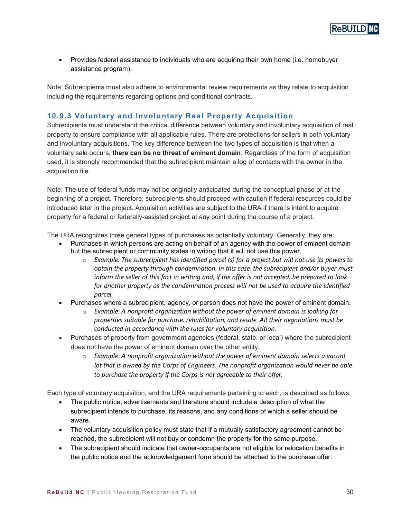

• Provides federal assistance to individuals who are acquiring their own home (i.e. homebuyer assistance program).

Note: Subrecipients must also adhere to environmental review requirements as they relate to acquisition including the requirements regarding options and conditional contracts.

#### <span id="page-29-0"></span>**10.9.3 Voluntary and Involuntary Real Property Acquisition**

Subrecipients must understand the critical difference between voluntary and involuntary acquisition of real property to ensure compliance with all applicable rules. There are protections for sellers in both voluntary and involuntary acquisitions. The key difference between the two types of acquisition is that when a voluntary sale occurs, **there can be no threat of eminent domain**. Regardless of the form of acquisition used, it is strongly recommended that the subrecipient maintain a log of contacts with the owner in the acquisition file.

Note: The use of federal funds may not be originally anticipated during the conceptual phase or at the beginning of a project. Therefore, subrecipients should proceed with caution if federal resources could be introduced later in the project. Acquisition activities are subject to the URA if there is intent to acquire property for a federal or federally-assisted project at any point during the course of a project.

The URA recognizes three general types of purchases as potentially voluntary. Generally, they are:

- Purchases in which persons are acting on behalf of an agency with the power of eminent domain but the subrecipient or community states in writing that it will not use this power.
	- o *Example: The subrecipient has identified parcel (s) for a project but will not use its powers to obtain the property through condemnation. In this case, the subrecipient and/or buyer must inform the seller of this fact in writing and, if the offer is not accepted, be prepared to look for another property as the condemnation process will not be used to acquire the identified parcel.*
- Purchases where a subrecipient, agency, or person does not have the power of eminent domain.
	- o *Example: A nonprofit organization without the power of eminent domain is looking for properties suitable for purchase, rehabilitation, and resale. All their negotiations must be conducted in accordance with the rules for voluntary acquisition.*
- Purchases of property from government agencies (federal, state, or local) where the subrecipient does not have the power of eminent domain over the other entity.
	- o *Example: A nonprofit organization without the power of eminent domain selects a vacant lot that is owned by the Corps of Engineers. The nonprofit organization would never be able to purchase the property if the Corps is not agreeable to their offer.*

Each type of voluntary acquisition, and the URA requirements pertaining to each, is described as follows:

- The public notice, advertisements and literature should include a description of what the subrecipient intends to purchase, its reasons, and any conditions of which a seller should be aware.
- The voluntary acquisition policy must state that if a mutually satisfactory agreement cannot be reached, the subrecipient will not buy or condemn the property for the same purpose.
- The subrecipient should indicate that owner-occupants are not eligible for relocation benefits in the public notice and the acknowledgement form should be attached to the purchase offer.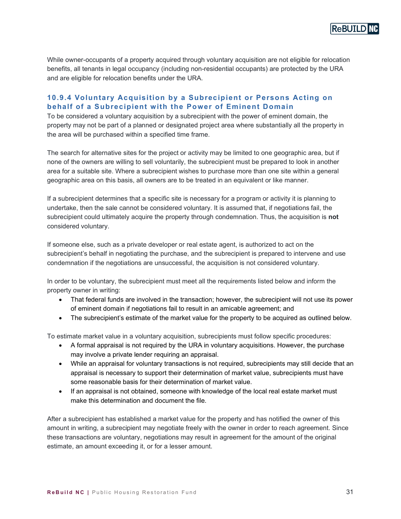While owner-occupants of a property acquired through voluntary acquisition are not eligible for relocation benefits, all tenants in legal occupancy (including non-residential occupants) are protected by the URA and are eligible for relocation benefits under the URA.

#### <span id="page-30-0"></span>**10.9.4 Voluntary Acquisition by a Subrecipient or Persons Acting on behalf of a Subrecipient with the Power of Eminent Domain**

To be considered a voluntary acquisition by a subrecipient with the power of eminent domain, the property may not be part of a planned or designated project area where substantially all the property in the area will be purchased within a specified time frame.

The search for alternative sites for the project or activity may be limited to one geographic area, but if none of the owners are willing to sell voluntarily, the subrecipient must be prepared to look in another area for a suitable site. Where a subrecipient wishes to purchase more than one site within a general geographic area on this basis, all owners are to be treated in an equivalent or like manner.

If a subrecipient determines that a specific site is necessary for a program or activity it is planning to undertake, then the sale cannot be considered voluntary. It is assumed that, if negotiations fail, the subrecipient could ultimately acquire the property through condemnation. Thus, the acquisition is **not**  considered voluntary.

If someone else, such as a private developer or real estate agent, is authorized to act on the subrecipient's behalf in negotiating the purchase, and the subrecipient is prepared to intervene and use condemnation if the negotiations are unsuccessful, the acquisition is not considered voluntary.

In order to be voluntary, the subrecipient must meet all the requirements listed below and inform the property owner in writing:

- That federal funds are involved in the transaction; however, the subrecipient will not use its power of eminent domain if negotiations fail to result in an amicable agreement; and
- The subrecipient's estimate of the market value for the property to be acquired as outlined below.

To estimate market value in a voluntary acquisition, subrecipients must follow specific procedures:

- A formal appraisal is not required by the URA in voluntary acquisitions. However, the purchase may involve a private lender requiring an appraisal.
- While an appraisal for voluntary transactions is not required, subrecipients may still decide that an appraisal is necessary to support their determination of market value, subrecipients must have some reasonable basis for their determination of market value.
- If an appraisal is not obtained, someone with knowledge of the local real estate market must make this determination and document the file.

After a subrecipient has established a market value for the property and has notified the owner of this amount in writing, a subrecipient may negotiate freely with the owner in order to reach agreement. Since these transactions are voluntary, negotiations may result in agreement for the amount of the original estimate, an amount exceeding it, or for a lesser amount.

**ReBUILD**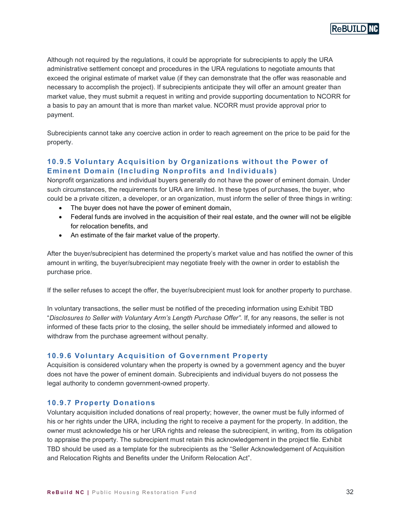

Although not required by the regulations, it could be appropriate for subrecipients to apply the URA administrative settlement concept and procedures in the URA regulations to negotiate amounts that exceed the original estimate of market value (if they can demonstrate that the offer was reasonable and necessary to accomplish the project). If subrecipients anticipate they will offer an amount greater than market value, they must submit a request in writing and provide supporting documentation to NCORR for a basis to pay an amount that is more than market value. NCORR must provide approval prior to payment.

Subrecipients cannot take any coercive action in order to reach agreement on the price to be paid for the property.

#### <span id="page-31-0"></span>**10.9.5 Voluntary Acquisition by Organizations without the Power of Eminent Domain (Including Nonprofits and Individuals)**

Nonprofit organizations and individual buyers generally do not have the power of eminent domain. Under such circumstances, the requirements for URA are limited. In these types of purchases, the buyer, who could be a private citizen, a developer, or an organization, must inform the seller of three things in writing:

- The buyer does not have the power of eminent domain,
- Federal funds are involved in the acquisition of their real estate, and the owner will not be eligible for relocation benefits, and
- An estimate of the fair market value of the property.

After the buyer/subrecipient has determined the property's market value and has notified the owner of this amount in writing, the buyer/subrecipient may negotiate freely with the owner in order to establish the purchase price.

If the seller refuses to accept the offer, the buyer/subrecipient must look for another property to purchase.

In voluntary transactions, the seller must be notified of the preceding information using Exhibit TBD "*Disclosures to Seller with Voluntary Arm's Length Purchase Offer".* If, for any reasons, the seller is not informed of these facts prior to the closing, the seller should be immediately informed and allowed to withdraw from the purchase agreement without penalty.

#### <span id="page-31-1"></span>**10.9.6 Voluntary Acquisition of Government Property**

Acquisition is considered voluntary when the property is owned by a government agency and the buyer does not have the power of eminent domain. Subrecipients and individual buyers do not possess the legal authority to condemn government-owned property.

#### <span id="page-31-2"></span>**10.9.7 Property Donations**

Voluntary acquisition included donations of real property; however, the owner must be fully informed of his or her rights under the URA, including the right to receive a payment for the property. In addition, the owner must acknowledge his or her URA rights and release the subrecipient, in writing, from its obligation to appraise the property. The subrecipient must retain this acknowledgement in the project file. Exhibit TBD should be used as a template for the subrecipients as the "Seller Acknowledgement of Acquisition and Relocation Rights and Benefits under the Uniform Relocation Act".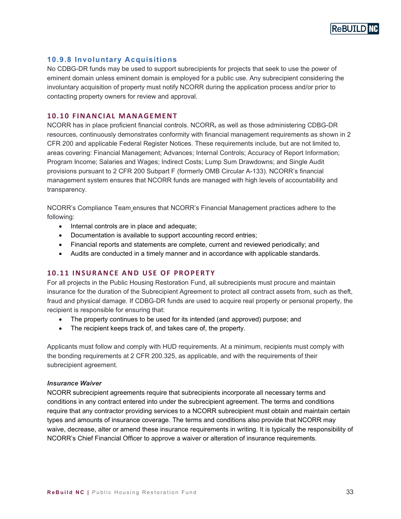

#### <span id="page-32-0"></span>**10.9.8 Involuntary Acquisitions**

No CDBG-DR funds may be used to support subrecipients for projects that seek to use the power of eminent domain unless eminent domain is employed for a public use. Any subrecipient considering the involuntary acquisition of property must notify NCORR during the application process and/or prior to contacting property owners for review and approval.

#### <span id="page-32-1"></span>**10.10 FINANCIAL MANAGEMENT**

NCORR has in place proficient financial controls. NCORR, as well as those administering CDBG-DR resources, continuously demonstrates conformity with financial management requirements as shown in 2 CFR 200 and applicable Federal Register Notices. These requirements include, but are not limited to, areas covering: Financial Management; Advances; Internal Controls; Accuracy of Report Information; Program Income; Salaries and Wages; Indirect Costs; Lump Sum Drawdowns; and Single Audit provisions pursuant to 2 CFR 200 Subpart F (formerly OMB Circular A-133). NCORR's financial management system ensures that NCORR funds are managed with high levels of accountability and transparency.

NCORR's Compliance Team ensures that NCORR's Financial Management practices adhere to the following:

- Internal controls are in place and adequate;
- Documentation is available to support accounting record entries;
- Financial reports and statements are complete, current and reviewed periodically; and
- Audits are conducted in a timely manner and in accordance with applicable standards.

#### <span id="page-32-2"></span>**10.11 INSURANCE AND USE OF PROPERTY**

For all projects in the Public Housing Restoration Fund, all subrecipients must procure and maintain insurance for the duration of the Subrecipient Agreement to protect all contract assets from, such as theft, fraud and physical damage. If CDBG-DR funds are used to acquire real property or personal property, the recipient is responsible for ensuring that:

- The property continues to be used for its intended (and approved) purpose; and
- The recipient keeps track of, and takes care of, the property.

Applicants must follow and comply with HUD requirements. At a minimum, recipients must comply with the bonding requirements at 2 CFR 200.325, as applicable, and with the requirements of their subrecipient agreement.

#### *Insurance Waiver*

NCORR subrecipient agreements require that subrecipients incorporate all necessary terms and conditions in any contract entered into under the subrecipient agreement. The terms and conditions require that any contractor providing services to a NCORR subrecipient must obtain and maintain certain types and amounts of insurance coverage. The terms and conditions also provide that NCORR may waive, decrease, alter or amend these insurance requirements in writing. It is typically the responsibility of NCORR's Chief Financial Officer to approve a waiver or alteration of insurance requirements.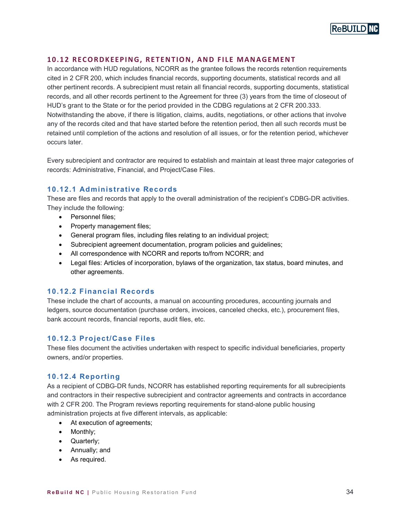

#### <span id="page-33-0"></span>**10.12 RECORDKEEPING, RETENTION, AND FILE MANAGEMENT**

In accordance with HUD regulations, NCORR as the grantee follows the records retention requirements cited in 2 CFR 200, which includes financial records, supporting documents, statistical records and all other pertinent records. A subrecipient must retain all financial records, supporting documents, statistical records, and all other records pertinent to the Agreement for three (3) years from the time of closeout of HUD's grant to the State or for the period provided in the CDBG regulations at 2 CFR 200.333. Notwithstanding the above, if there is litigation, claims, audits, negotiations, or other actions that involve any of the records cited and that have started before the retention period, then all such records must be retained until completion of the actions and resolution of all issues, or for the retention period, whichever occurs later.

Every subrecipient and contractor are required to establish and maintain at least three major categories of records: Administrative, Financial, and Project/Case Files.

#### <span id="page-33-1"></span>**10.12.1 Administrative Records**

These are files and records that apply to the overall administration of the recipient's CDBG-DR activities. They include the following:

- Personnel files;
- Property management files;
- General program files, including files relating to an individual project;
- Subrecipient agreement documentation, program policies and guidelines;
- All correspondence with NCORR and reports to/from NCORR; and
- Legal files: Articles of incorporation, bylaws of the organization, tax status, board minutes, and other agreements.

#### <span id="page-33-2"></span>**10.12.2 Financial Records**

These include the chart of accounts, a manual on accounting procedures, accounting journals and ledgers, source documentation (purchase orders, invoices, canceled checks, etc.), procurement files, bank account records, financial reports, audit files, etc.

#### <span id="page-33-3"></span>**10.12.3 Project/Case Files**

These files document the activities undertaken with respect to specific individual beneficiaries, property owners, and/or properties.

#### <span id="page-33-4"></span>**10.12.4 Reporting**

As a recipient of CDBG-DR funds, NCORR has established reporting requirements for all subrecipients and contractors in their respective subrecipient and contractor agreements and contracts in accordance with 2 CFR 200. The Program reviews reporting requirements for stand-alone public housing administration projects at five different intervals, as applicable:

- At execution of agreements;
- Monthly;
- Quarterly;
- Annually; and
- As required.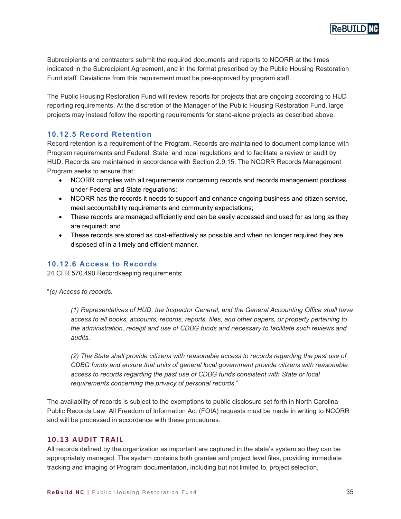Subrecipients and contractors submit the required documents and reports to NCORR at the times indicated in the Subrecipient Agreement, and in the format prescribed by the Public Housing Restoration Fund staff. Deviations from this requirement must be pre-approved by program staff.

The Public Housing Restoration Fund will review reports for projects that are ongoing according to HUD reporting requirements. At the discretion of the Manager of the Public Housing Restoration Fund, large projects may instead follow the reporting requirements for stand-alone projects as described above.

#### <span id="page-34-0"></span>**10.12.5 Record Retention**

Record retention is a requirement of the Program. Records are maintained to document compliance with Program requirements and Federal, State, and local regulations and to facilitate a review or audit by HUD. Records are maintained in accordance with Section 2.9.15. The NCORR Records Management Program seeks to ensure that:

- NCORR complies with all requirements concerning records and records management practices under Federal and State regulations;
- NCORR has the records it needs to support and enhance ongoing business and citizen service, meet accountability requirements and community expectations;
- These records are managed efficiently and can be easily accessed and used for as long as they are required; and
- These records are stored as cost-effectively as possible and when no longer required they are disposed of in a timely and efficient manner.

#### <span id="page-34-1"></span>**10.12.6 Access to Records**

24 CFR 570.490 Recordkeeping requirements:

"*(c) Access to records.*

*(1) Representatives of HUD, the Inspector General, and the General Accounting Office shall have access to all books, accounts, records, reports, files, and other papers, or property pertaining to the administration, receipt and use of CDBG funds and necessary to facilitate such reviews and audits.*

*(2) The State shall provide citizens with reasonable access to records regarding the past use of CDBG funds and ensure that units of general local government provide citizens with reasonable access to records regarding the past use of CDBG funds consistent with State or local requirements concerning the privacy of personal records*."

The availability of records is subject to the exemptions to public disclosure set forth in North Carolina Public Records Law. All Freedom of Information Act (FOIA) requests must be made in writing to NCORR and will be processed in accordance with these procedures.

#### <span id="page-34-2"></span>**10.13 AUDIT TRAIL**

All records defined by the organization as important are captured in the state's system so they can be appropriately managed. The system contains both grantee and project level files, providing immediate tracking and imaging of Program documentation, including but not limited to, project selection,

**ReBUILD**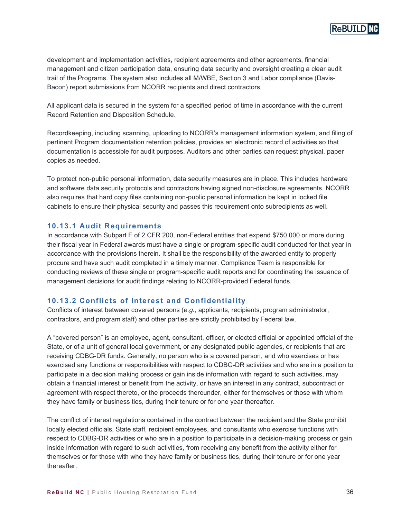

development and implementation activities, recipient agreements and other agreements, financial management and citizen participation data, ensuring data security and oversight creating a clear audit trail of the Programs. The system also includes all M/WBE, Section 3 and Labor compliance (Davis-Bacon) report submissions from NCORR recipients and direct contractors.

All applicant data is secured in the system for a specified period of time in accordance with the current Record Retention and Disposition Schedule.

Recordkeeping, including scanning, uploading to NCORR's management information system, and filing of pertinent Program documentation retention policies, provides an electronic record of activities so that documentation is accessible for audit purposes. Auditors and other parties can request physical, paper copies as needed.

To protect non-public personal information, data security measures are in place. This includes hardware and software data security protocols and contractors having signed non-disclosure agreements. NCORR also requires that hard copy files containing non-public personal information be kept in locked file cabinets to ensure their physical security and passes this requirement onto subrecipients as well.

#### <span id="page-35-0"></span>**10.13.1 Audit Requirements**

In accordance with Subpart F of 2 CFR 200, non-Federal entities that expend \$750,000 or more during their fiscal year in Federal awards must have a single or program-specific audit conducted for that year in accordance with the provisions therein. It shall be the responsibility of the awarded entity to properly procure and have such audit completed in a timely manner. Compliance Team is responsible for conducting reviews of these single or program-specific audit reports and for coordinating the issuance of management decisions for audit findings relating to NCORR-provided Federal funds.

#### <span id="page-35-1"></span>**10.13.2 Conflicts of Interest and Confidentiality**

Conflicts of interest between covered persons (*e.g.*, applicants, recipients, program administrator, contractors, and program staff) and other parties are strictly prohibited by Federal law.

A "covered person" is an employee, agent, consultant, officer, or elected official or appointed official of the State, or of a unit of general local government, or any designated public agencies, or recipients that are receiving CDBG-DR funds. Generally, no person who is a covered person, and who exercises or has exercised any functions or responsibilities with respect to CDBG-DR activities and who are in a position to participate in a decision making process or gain inside information with regard to such activities, may obtain a financial interest or benefit from the activity, or have an interest in any contract, subcontract or agreement with respect thereto, or the proceeds thereunder, either for themselves or those with whom they have family or business ties, during their tenure or for one year thereafter.

The conflict of interest regulations contained in the contract between the recipient and the State prohibit locally elected officials, State staff, recipient employees, and consultants who exercise functions with respect to CDBG-DR activities or who are in a position to participate in a decision-making process or gain inside information with regard to such activities, from receiving any benefit from the activity either for themselves or for those with who they have family or business ties, during their tenure or for one year thereafter.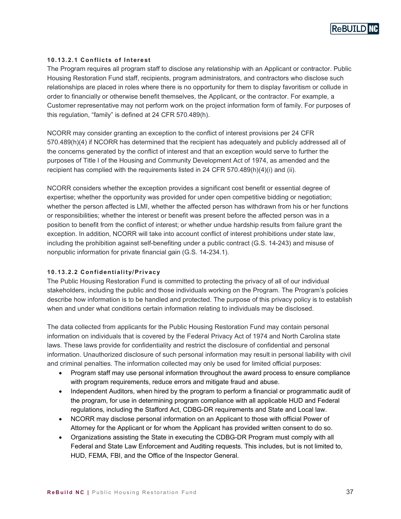

#### **10.13.2.1 Conflicts of Interest**

The Program requires all program staff to disclose any relationship with an Applicant or contractor. Public Housing Restoration Fund staff, recipients, program administrators, and contractors who disclose such relationships are placed in roles where there is no opportunity for them to display favoritism or collude in order to financially or otherwise benefit themselves, the Applicant, or the contractor. For example, a Customer representative may not perform work on the project information form of family. For purposes of this regulation, "family" is defined at 24 CFR 570.489(h).

NCORR may consider granting an exception to the conflict of interest provisions per 24 CFR 570.489(h)(4) if NCORR has determined that the recipient has adequately and publicly addressed all of the concerns generated by the conflict of interest and that an exception would serve to further the purposes of Title I of the Housing and Community Development Act of 1974, as amended and the recipient has complied with the requirements listed in 24 CFR 570.489(h)(4)(i) and (ii).

NCORR considers whether the exception provides a significant cost benefit or essential degree of expertise; whether the opportunity was provided for under open competitive bidding or negotiation; whether the person affected is LMI, whether the affected person has withdrawn from his or her functions or responsibilities; whether the interest or benefit was present before the affected person was in a position to benefit from the conflict of interest; or whether undue hardship results from failure grant the exception. In addition, NCORR will take into account conflict of interest prohibitions under state law, including the prohibition against self-benefiting under a public contract (G.S. 14-243) and misuse of nonpublic information for private financial gain (G.S. 14-234.1).

#### **10.13.2.2 Confidentiality/Privacy**

The Public Housing Restoration Fund is committed to protecting the privacy of all of our individual stakeholders, including the public and those individuals working on the Program. The Program's policies describe how information is to be handled and protected. The purpose of this privacy policy is to establish when and under what conditions certain information relating to individuals may be disclosed.

The data collected from applicants for the Public Housing Restoration Fund may contain personal information on individuals that is covered by the Federal Privacy Act of 1974 and North Carolina state laws. These laws provide for confidentiality and restrict the disclosure of confidential and personal information. Unauthorized disclosure of such personal information may result in personal liability with civil and criminal penalties. The information collected may only be used for limited official purposes:

- Program staff may use personal information throughout the award process to ensure compliance with program requirements, reduce errors and mitigate fraud and abuse.
- Independent Auditors, when hired by the program to perform a financial or programmatic audit of the program, for use in determining program compliance with all applicable HUD and Federal regulations, including the Stafford Act, CDBG-DR requirements and State and Local law.
- NCORR may disclose personal information on an Applicant to those with official Power of Attorney for the Applicant or for whom the Applicant has provided written consent to do so.
- Organizations assisting the State in executing the CDBG-DR Program must comply with all Federal and State Law Enforcement and Auditing requests. This includes, but is not limited to, HUD, FEMA, FBI, and the Office of the Inspector General.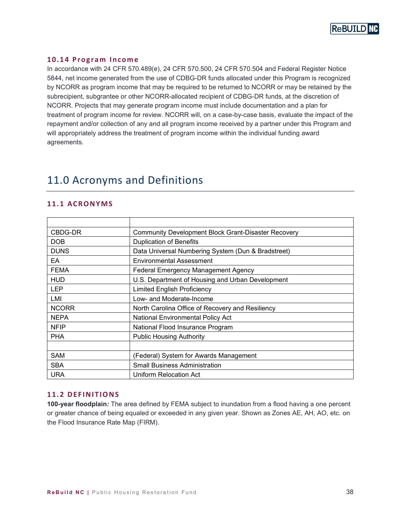

#### **10.14 Program Income**

In accordance with 24 CFR 570.489(e), 24 CFR 570.500, 24 CFR 570.504 and Federal Register Notice 5844, net income generated from the use of CDBG-DR funds allocated under this Program is recognized by NCORR as program income that may be required to be returned to NCORR or may be retained by the subrecipient, subgrantee or other NCORR-allocated recipient of CDBG-DR funds, at the discretion of NCORR. Projects that may generate program income must include documentation and a plan for treatment of program income for review. NCORR will, on a case-by-case basis, evaluate the impact of the repayment and/or collection of any and all program income received by a partner under this Program and will appropriately address the treatment of program income within the individual funding award agreements.

## <span id="page-37-0"></span>11.0 Acronyms and Definitions

#### <span id="page-37-1"></span>**11.1 ACRONYMS**

| CBDG-DR      | <b>Community Development Block Grant-Disaster Recovery</b> |
|--------------|------------------------------------------------------------|
| <b>DOB</b>   | <b>Duplication of Benefits</b>                             |
| <b>DUNS</b>  | Data Universal Numbering System (Dun & Bradstreet)         |
| EA           | Environmental Assessment                                   |
| <b>FEMA</b>  | Federal Emergency Management Agency                        |
| <b>HUD</b>   | U.S. Department of Housing and Urban Development           |
| <b>LEP</b>   | <b>Limited English Proficiency</b>                         |
| LMI          | Low- and Moderate-Income                                   |
| <b>NCORR</b> | North Carolina Office of Recovery and Resiliency           |
| <b>NEPA</b>  | National Environmental Policy Act                          |
| <b>NFIP</b>  | National Flood Insurance Program                           |
| <b>PHA</b>   | <b>Public Housing Authority</b>                            |
|              |                                                            |
| <b>SAM</b>   | (Federal) System for Awards Management                     |
| <b>SBA</b>   | <b>Small Business Administration</b>                       |
| <b>URA</b>   | Uniform Relocation Act                                     |

#### <span id="page-37-2"></span>**11.2 DEFINITIONS**

**100-year floodplain***:* The area defined by FEMA subject to inundation from a flood having a one percent or greater chance of being equaled or exceeded in any given year. Shown as Zones AE, AH, AO, etc. on the Flood Insurance Rate Map (FIRM).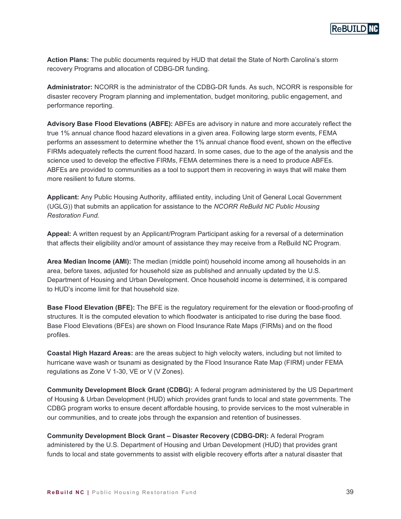

**Action Plans:** The public documents required by HUD that detail the State of North Carolina's storm recovery Programs and allocation of CDBG-DR funding.

**Administrator:** NCORR is the administrator of the CDBG-DR funds. As such, NCORR is responsible for disaster recovery Program planning and implementation, budget monitoring, public engagement, and performance reporting.

**Advisory Base Flood Elevations (ABFE):** ABFEs are advisory in nature and more accurately reflect the true 1% annual chance flood hazard elevations in a given area. Following large storm events, FEMA performs an assessment to determine whether the 1% annual chance flood event, shown on the effective FIRMs adequately reflects the current flood hazard. In some cases, due to the age of the analysis and the science used to develop the effective FIRMs, FEMA determines there is a need to produce ABFEs. ABFEs are provided to communities as a tool to support them in recovering in ways that will make them more resilient to future storms.

**Applicant:** Any Public Housing Authority, affiliated entity, including Unit of General Local Government (UGLG)) that submits an application for assistance to the *NCORR ReBuild NC Public Housing Restoration Fund.*

**Appeal:** A written request by an Applicant/Program Participant asking for a reversal of a determination that affects their eligibility and/or amount of assistance they may receive from a ReBuild NC Program.

**Area Median Income (AMI):** The median (middle point) household income among all households in an area, before taxes, adjusted for household size as published and annually updated by the U.S. Department of Housing and Urban Development. Once household income is determined, it is compared to HUD's income limit for that household size.

**Base Flood Elevation (BFE):** The BFE is the regulatory requirement for the elevation or flood-proofing of structures. It is the computed elevation to which floodwater is anticipated to rise during the base flood. Base Flood Elevations (BFEs) are shown on Flood Insurance Rate Maps (FIRMs) and on the flood profiles.

**Coastal High Hazard Areas:** are the areas subject to high velocity waters, including but not limited to hurricane wave wash or tsunami as designated by the Flood Insurance Rate Map (FIRM) under FEMA regulations as Zone V 1-30, VE or V (V Zones).

**Community Development Block Grant (CDBG):** A federal program administered by the US Department of Housing & Urban Development (HUD) which provides grant funds to local and state governments. The CDBG program works to ensure decent affordable housing, to provide services to the most vulnerable in our communities, and to create jobs through the expansion and retention of businesses.

**Community Development Block Grant – Disaster Recovery (CDBG-DR):** A federal Program administered by the U.S. Department of Housing and Urban Development (HUD) that provides grant funds to local and state governments to assist with eligible recovery efforts after a natural disaster that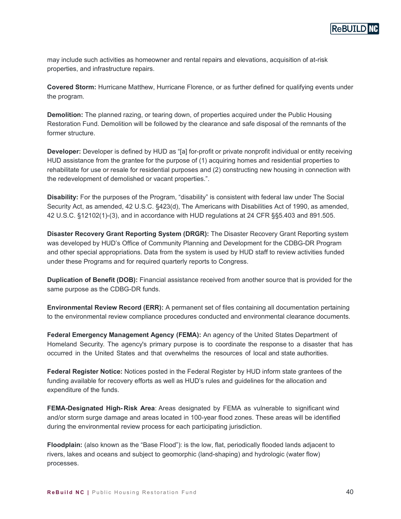

may include such activities as homeowner and rental repairs and elevations, acquisition of at-risk properties, and infrastructure repairs.

**Covered Storm:** Hurricane Matthew, Hurricane Florence, or as further defined for qualifying events under the program.

**Demolition:** The planned razing, or tearing down, of properties acquired under the Public Housing Restoration Fund. Demolition will be followed by the clearance and safe disposal of the remnants of the former structure.

**Developer:** Developer is defined by HUD as "[a] for-profit or private nonprofit individual or entity receiving HUD assistance from the grantee for the purpose of (1) acquiring homes and residential properties to rehabilitate for use or resale for residential purposes and (2) constructing new housing in connection with the redevelopment of demolished or vacant properties.".

**Disability:** For the purposes of the Program, "disability" is consistent with federal law under The Social Security Act, as amended, 42 U.S.C. §423(d), The Americans with Disabilities Act of 1990, as amended, 42 U.S.C. §12102(1)-(3), and in accordance with HUD regulations at 24 CFR §§5.403 and 891.505.

**Disaster Recovery Grant Reporting System (DRGR):** The Disaster Recovery Grant Reporting system was developed by HUD's Office of Community Planning and Development for the CDBG-DR Program and other special appropriations. Data from the system is used by HUD staff to review activities funded under these Programs and for required quarterly reports to Congress.

**Duplication of Benefit (DOB):** Financial assistance received from another source that is provided for the same purpose as the CDBG-DR funds.

**Environmental Review Record (ERR):** A permanent set of files containing all documentation pertaining to the environmental review compliance procedures conducted and environmental clearance documents.

**Federal Emergency Management Agency (FEMA):** An agency of the United States Department of Homeland Security. The agency's primary purpose is to coordinate the response to a disaster that has occurred in the United States and that overwhelms the resources of local and state authorities.

**Federal Register Notice:** Notices posted in the Federal Register by HUD inform state grantees of the funding available for recovery efforts as well as HUD's rules and guidelines for the allocation and expenditure of the funds.

**FEMA-Designated High- Risk Area**: Areas designated by FEMA as vulnerable to significant wind and/or storm surge damage and areas located in 100-year flood zones. These areas will be identified during the environmental review process for each participating jurisdiction.

**Floodplain:** (also known as the "Base Flood"): is the low, flat, periodically flooded lands adjacent to rivers, lakes and oceans and subject to geomorphic (land-shaping) and hydrologic (water flow) processes.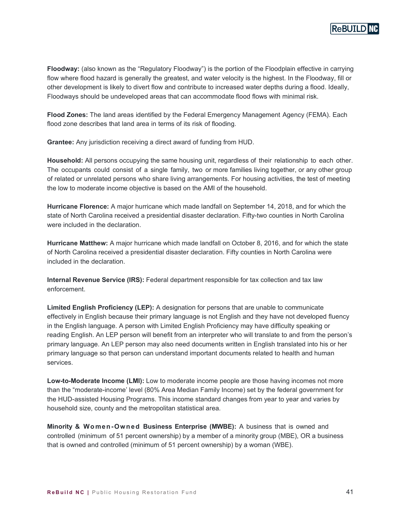

**Floodway:** (also known as the "Regulatory Floodway") is the portion of the Floodplain effective in carrying flow where flood hazard is generally the greatest, and water velocity is the highest. In the Floodway, fill or other development is likely to divert flow and contribute to increased water depths during a flood. Ideally, Floodways should be undeveloped areas that can accommodate flood flows with minimal risk.

**Flood Zones:** The land areas identified by the Federal Emergency Management Agency (FEMA). Each flood zone describes that land area in terms of its risk of flooding.

**Grantee:** Any jurisdiction receiving a direct award of funding from HUD.

**Household:** All persons occupying the same housing unit, regardless of their relationship to each other. The occupants could consist of a single family, two or more families living together, or any other group of related or unrelated persons who share living arrangements. For housing activities, the test of meeting the low to moderate income objective is based on the AMI of the household.

**Hurricane Florence:** A major hurricane which made landfall on September 14, 2018, and for which the state of North Carolina received a presidential disaster declaration. Fifty-two counties in North Carolina were included in the declaration.

**Hurricane Matthew:** A major hurricane which made landfall on October 8, 2016, and for which the state of North Carolina received a presidential disaster declaration. Fifty counties in North Carolina were included in the declaration.

**Internal Revenue Service (IRS):** Federal department responsible for tax collection and tax law enforcement.

**Limited English Proficiency (LEP):** A designation for persons that are unable to communicate effectively in English because their primary language is not English and they have not developed fluency in the English language. A person with Limited English Proficiency may have difficulty speaking or reading English. An LEP person will benefit from an interpreter who will translate to and from the person's primary language. An LEP person may also need documents written in English translated into his or her primary language so that person can understand important documents related to health and human services.

**Low-to-Moderate Income (LMI):** Low to moderate income people are those having incomes not more than the "moderate-income' level (80% Area Median Family Income) set by the federal government for the HUD-assisted Housing Programs. This income standard changes from year to year and varies by household size, county and the metropolitan statistical area.

**Minority & Women-Owned Business Enterprise (MWBE):** A business that is owned and controlled (minimum of 51 percent ownership) by a member of a minority group (MBE), OR a business that is owned and controlled (minimum of 51 percent ownership) by a woman (WBE).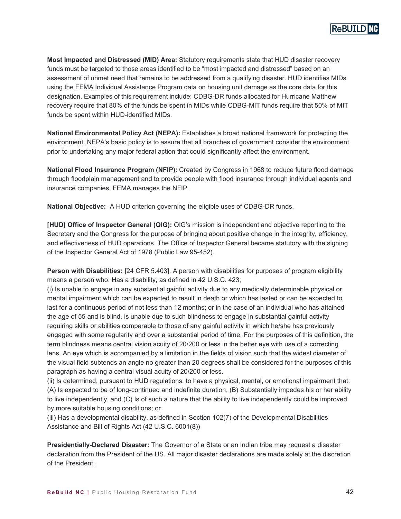

**Most Impacted and Distressed (MID) Area:** Statutory requirements state that HUD disaster recovery funds must be targeted to those areas identified to be "most impacted and distressed" based on an assessment of unmet need that remains to be addressed from a qualifying disaster. HUD identifies MIDs using the FEMA Individual Assistance Program data on housing unit damage as the core data for this designation. Examples of this requirement include: CDBG-DR funds allocated for Hurricane Matthew recovery require that 80% of the funds be spent in MIDs while CDBG-MIT funds require that 50% of MIT funds be spent within HUD-identified MIDs.

**National Environmental Policy Act (NEPA):** Establishes a broad national framework for protecting the environment. NEPA's basic policy is to assure that all branches of government consider the environment prior to undertaking any major federal action that could significantly affect the environment.

**National Flood Insurance Program (NFIP):** Created by Congress in 1968 to reduce future flood damage through floodplain management and to provide people with flood insurance through individual agents and insurance companies. FEMA manages the NFIP.

**National Objective:** A HUD criterion governing the eligible uses of CDBG-DR funds.

**[HUD] Office of Inspector General (OIG):** OIG's mission is independent and objective reporting to the Secretary and the Congress for the purpose of bringing about positive change in the integrity, efficiency, and effectiveness of HUD operations. The Office of Inspector General became statutory with the signing of the Inspector General Act of 1978 (Public Law 95-452).

**Person with Disabilities:** [24 CFR 5.403]. A person with disabilities for purposes of program eligibility means a person who: Has a disability, as defined in 42 U.S.C. 423;

(i) Is unable to engage in any substantial gainful activity due to any medically determinable physical or mental impairment which can be expected to result in death or which has lasted or can be expected to last for a continuous period of not less than 12 months; or in the case of an individual who has attained the age of 55 and is blind, is unable due to such blindness to engage in substantial gainful activity requiring skills or abilities comparable to those of any gainful activity in which he/she has previously engaged with some regularity and over a substantial period of time. For the purposes of this definition, the term blindness means central vision acuity of 20/200 or less in the better eye with use of a correcting lens. An eye which is accompanied by a limitation in the fields of vision such that the widest diameter of the visual field subtends an angle no greater than 20 degrees shall be considered for the purposes of this paragraph as having a central visual acuity of 20/200 or less.

(ii) Is determined, pursuant to HUD regulations, to have a physical, mental, or emotional impairment that: (A) Is expected to be of long-continued and indefinite duration, (B) Substantially impedes his or her ability to live independently, and (C) Is of such a nature that the ability to live independently could be improved by more suitable housing conditions; or

(iii) Has a developmental disability, as defined in Section 102(7) of the Developmental Disabilities Assistance and Bill of Rights Act (42 U.S.C. 6001(8))

**Presidentially-Declared Disaster:** The Governor of a State or an Indian tribe may request a disaster declaration from the President of the US. All major disaster declarations are made solely at the discretion of the President.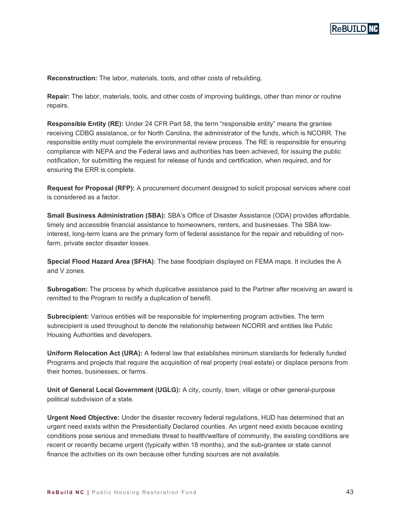

**Reconstruction:** The labor, materials, tools, and other costs of rebuilding.

**Repair:** The labor, materials, tools, and other costs of improving buildings, other than minor or routine repairs.

**Responsible Entity (RE):** Under 24 CFR Part 58, the term "responsible entity" means the grantee receiving CDBG assistance, or for North Carolina, the administrator of the funds, which is NCORR. The responsible entity must complete the environmental review process. The RE is responsible for ensuring compliance with NEPA and the Federal laws and authorities has been achieved, for issuing the public notification, for submitting the request for release of funds and certification, when required, and for ensuring the ERR is complete.

**Request for Proposal (RFP):** A procurement document designed to solicit proposal services where cost is considered as a factor.

**Small Business Administration (SBA):** SBA's Office of Disaster Assistance (ODA) provides affordable, timely and accessible financial assistance to homeowners, renters, and businesses. The SBA lowinterest, long-term loans are the primary form of federal assistance for the repair and rebuilding of nonfarm, private sector disaster losses.

**Special Flood Hazard Area (SFHA)**: The base floodplain displayed on FEMA maps. It includes the A and V zones.

**Subrogation:** The process by which duplicative assistance paid to the Partner after receiving an award is remitted to the Program to rectify a duplication of benefit.

**Subrecipient:** Various entities will be responsible for implementing program activities. The term subrecipient is used throughout to denote the relationship between NCORR and entities like Public Housing Authorities and developers.

**Uniform Relocation Act (URA):** A federal law that establishes minimum standards for federally funded Programs and projects that require the acquisition of real property (real estate) or displace persons from their homes, businesses, or farms.

**Unit of General Local Government (UGLG):** A city, county, town, village or other general-purpose political subdivision of a state.

**Urgent Need Objective:** Under the disaster recovery federal regulations, HUD has determined that an urgent need exists within the Presidentially Declared counties. An urgent need exists because existing conditions pose serious and immediate threat to health/welfare of community, the existing conditions are recent or recently became urgent (typically within 18 months), and the sub-grantee or state cannot finance the activities on its own because other funding sources are not available.